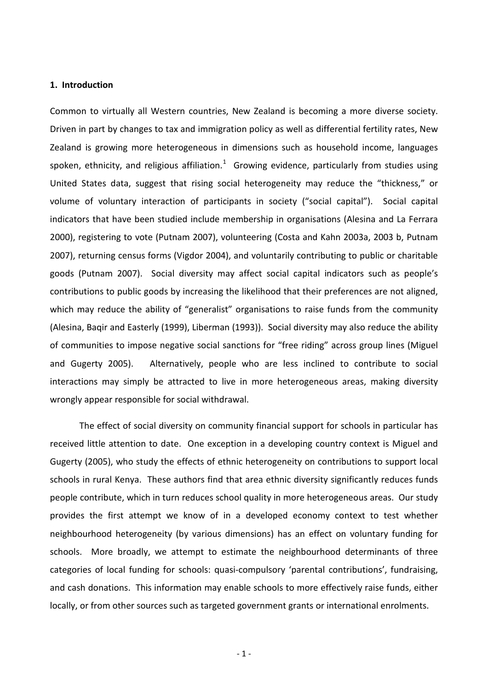#### **1. Introduction**

Common to virtually all Western countries, New Zealand is becoming a more diverse society. Driven in part by changes to tax and immigration policy as well as differential fertility rates, New Zealand is growing more heterogeneous in dimensions such as household income, languages spoken, ethnicity, and religious affiliation.<sup>[1](#page-40-0)</sup> Growing evidence, particularly from studies using United States data, suggest that rising social heterogeneity may reduce the "thickness," or volume of voluntary interaction of participants in society ("social capital"). Social capital indicators that have been studied include membership in organisations (Alesina and La Ferrara 2000), registering to vote (Putnam 2007), volunteering (Costa and Kahn 2003a, 2003 b, Putnam 2007), returning census forms (Vigdor 2004), and voluntarily contributing to public or charitable goods (Putnam 2007). Social diversity may affect social capital indicators such as people's contributions to public goods by increasing the likelihood that their preferences are not aligned, which may reduce the ability of "generalist" organisations to raise funds from the community (Alesina, Baqir and Easterly (1999), Liberman (1993)). Social diversity may also reduce the ability of communities to impose negative social sanctions for "free riding" across group lines (Miguel and Gugerty 2005). Alternatively, people who are less inclined to contribute to social interactions may simply be attracted to live in more heterogeneous areas, making diversity wrongly appear responsible for social withdrawal.

The effect of social diversity on community financial support for schools in particular has received little attention to date. One exception in a developing country context is Miguel and Gugerty (2005), who study the effects of ethnic heterogeneity on contributions to support local schools in rural Kenya. These authors find that area ethnic diversity significantly reduces funds people contribute, which in turn reduces school quality in more heterogeneous areas. Our study provides the first attempt we know of in a developed economy context to test whether neighbourhood heterogeneity (by various dimensions) has an effect on voluntary funding for schools. More broadly, we attempt to estimate the neighbourhood determinants of three categories of local funding for schools: quasi-compulsory 'parental contributions', fundraising, and cash donations. This information may enable schools to more effectively raise funds, either locally, or from other sources such as targeted government grants or international enrolments.

 $-1 -$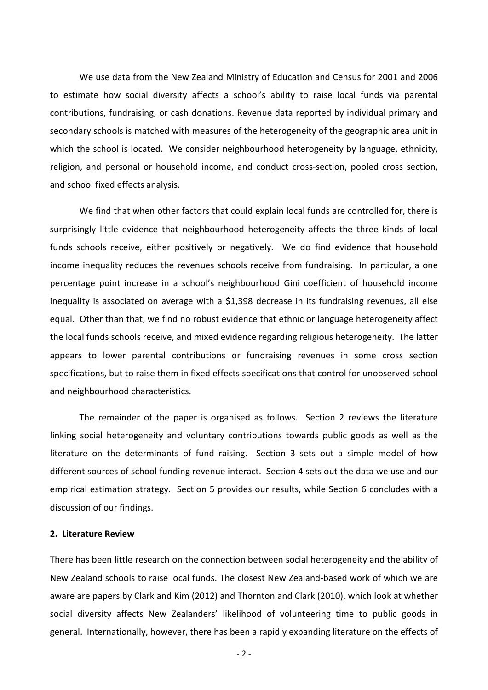We use data from the New Zealand Ministry of Education and Census for 2001 and 2006 to estimate how social diversity affects a school's ability to raise local funds via parental contributions, fundraising, or cash donations. Revenue data reported by individual primary and secondary schools is matched with measures of the heterogeneity of the geographic area unit in which the school is located. We consider neighbourhood heterogeneity by language, ethnicity, religion, and personal or household income, and conduct cross-section, pooled cross section, and school fixed effects analysis.

We find that when other factors that could explain local funds are controlled for, there is surprisingly little evidence that neighbourhood heterogeneity affects the three kinds of local funds schools receive, either positively or negatively. We do find evidence that household income inequality reduces the revenues schools receive from fundraising. In particular, a one percentage point increase in a school's neighbourhood Gini coefficient of household income inequality is associated on average with a \$1,398 decrease in its fundraising revenues, all else equal. Other than that, we find no robust evidence that ethnic or language heterogeneity affect the local funds schools receive, and mixed evidence regarding religious heterogeneity. The latter appears to lower parental contributions or fundraising revenues in some cross section specifications, but to raise them in fixed effects specifications that control for unobserved school and neighbourhood characteristics.

The remainder of the paper is organised as follows. Section 2 reviews the literature linking social heterogeneity and voluntary contributions towards public goods as well as the literature on the determinants of fund raising. Section 3 sets out a simple model of how different sources of school funding revenue interact. Section 4 sets out the data we use and our empirical estimation strategy. Section 5 provides our results, while Section 6 concludes with a discussion of our findings.

## **2. Literature Review**

There has been little research on the connection between social heterogeneity and the ability of New Zealand schools to raise local funds. The closest New Zealand-based work of which we are aware are papers by Clark and Kim (2012) and Thornton and Clark (2010), which look at whether social diversity affects New Zealanders' likelihood of volunteering time to public goods in general. Internationally, however, there has been a rapidly expanding literature on the effects of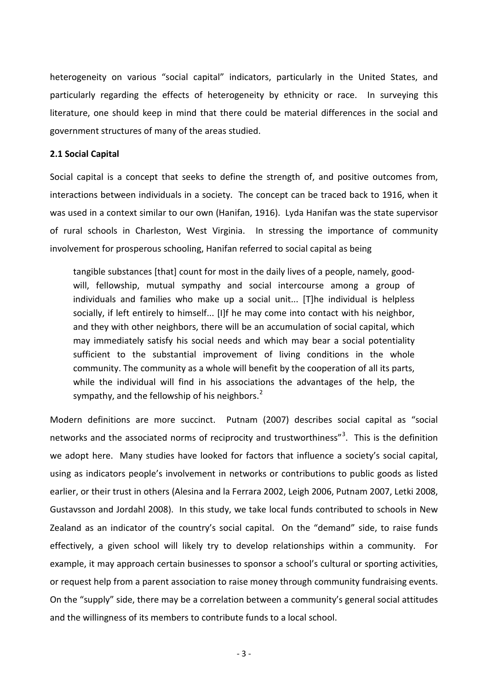heterogeneity on various "social capital" indicators, particularly in the United States, and particularly regarding the effects of heterogeneity by ethnicity or race. In surveying this literature, one should keep in mind that there could be material differences in the social and government structures of many of the areas studied.

#### **2.1 Social Capital**

Social capital is a concept that seeks to define the strength of, and positive outcomes from, interactions between individuals in a society. The concept can be traced back to 1916, when it was used in a context similar to our own (Hanifan, 1916). Lyda Hanifan was the state supervisor of rural schools in Charleston, West Virginia. In stressing the importance of community involvement for prosperous schooling, Hanifan referred to social capital as being

tangible substances [that] count for most in the daily lives of a people, namely, goodwill, fellowship, mutual sympathy and social intercourse among a group of individuals and families who make up a social unit... [T]he individual is helpless socially, if left entirely to himself... [I]f he may come into contact with his neighbor, and they with other neighbors, there will be an accumulation of social capital, which may immediately satisfy his social needs and which may bear a social potentiality sufficient to the substantial improvement of living conditions in the whole community. The community as a whole will benefit by the cooperation of all its parts, while the individual will find in his associations the advantages of the help, the sympathy, and the fellowship of his neighbors. $<sup>2</sup>$  $<sup>2</sup>$  $<sup>2</sup>$ </sup>

Modern definitions are more succinct. Putnam (2007) describes social capital as "social networks and the associated norms of reciprocity and trustworthiness"<sup>[3](#page-40-2)</sup>. This is the definition we adopt here. Many studies have looked for factors that influence a society's social capital, using as indicators people's involvement in networks or contributions to public goods as listed earlier, or their trust in others (Alesina and la Ferrara 2002, Leigh 2006, Putnam 2007, Letki 2008, Gustavsson and Jordahl 2008). In this study, we take local funds contributed to schools in New Zealand as an indicator of the country's social capital. On the "demand" side, to raise funds effectively, a given school will likely try to develop relationships within a community. For example, it may approach certain businesses to sponsor a school's cultural or sporting activities, or request help from a parent association to raise money through community fundraising events. On the "supply" side, there may be a correlation between a community's general social attitudes and the willingness of its members to contribute funds to a local school.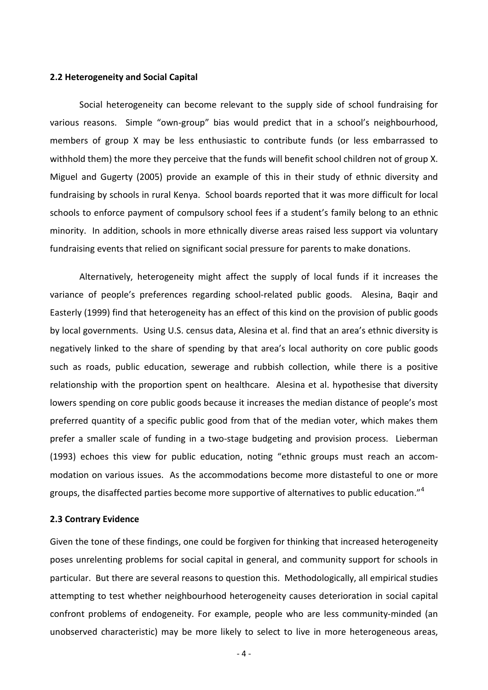#### **2.2 Heterogeneity and Social Capital**

Social heterogeneity can become relevant to the supply side of school fundraising for various reasons. Simple "own-group" bias would predict that in a school's neighbourhood, members of group X may be less enthusiastic to contribute funds (or less embarrassed to withhold them) the more they perceive that the funds will benefit school children not of group X. Miguel and Gugerty (2005) provide an example of this in their study of ethnic diversity and fundraising by schools in rural Kenya. School boards reported that it was more difficult for local schools to enforce payment of compulsory school fees if a student's family belong to an ethnic minority. In addition, schools in more ethnically diverse areas raised less support via voluntary fundraising events that relied on significant social pressure for parents to make donations.

Alternatively, heterogeneity might affect the supply of local funds if it increases the variance of people's preferences regarding school-related public goods. Alesina, Baqir and Easterly (1999) find that heterogeneity has an effect of this kind on the provision of public goods by local governments. Using U.S. census data, Alesina et al. find that an area's ethnic diversity is negatively linked to the share of spending by that area's local authority on core public goods such as roads, public education, sewerage and rubbish collection, while there is a positive relationship with the proportion spent on healthcare. Alesina et al. hypothesise that diversity lowers spending on core public goods because it increases the median distance of people's most preferred quantity of a specific public good from that of the median voter, which makes them prefer a smaller scale of funding in a two-stage budgeting and provision process. Lieberman (1993) echoes this view for public education, noting "ethnic groups must reach an accommodation on various issues. As the accommodations become more distasteful to one or more groups, the disaffected parties become more supportive of alternatives to public education."<sup>[4](#page-40-3)</sup>

#### **2.3 Contrary Evidence**

Given the tone of these findings, one could be forgiven for thinking that increased heterogeneity poses unrelenting problems for social capital in general, and community support for schools in particular. But there are several reasons to question this. Methodologically, all empirical studies attempting to test whether neighbourhood heterogeneity causes deterioration in social capital confront problems of endogeneity. For example, people who are less community-minded (an unobserved characteristic) may be more likely to select to live in more heterogeneous areas,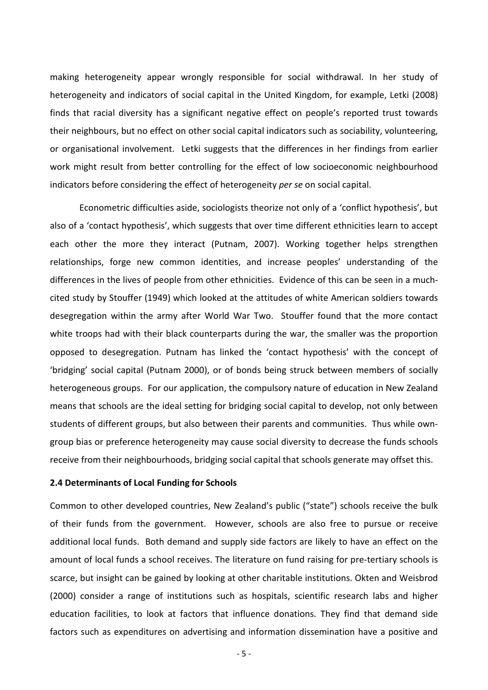making heterogeneity appear wrongly responsible for social withdrawal. In her study of heterogeneity and indicators of social capital in the United Kingdom, for example, Letki (2008) finds that racial diversity has a significant negative effect on people's reported trust towards their neighbours, but no effect on other social capital indicators such as sociability, volunteering, or organisational involvement. Letki suggests that the differences in her findings from earlier work might result from better controlling for the effect of low socioeconomic neighbourhood indicators before considering the effect of heterogeneity *per se* on social capital.

Econometric difficulties aside, sociologists theorize not only of a 'conflict hypothesis', but also of a 'contact hypothesis', which suggests that over time different ethnicities learn to accept each other the more they interact (Putnam, 2007). Working together helps strengthen relationships, forge new common identities, and increase peoples' understanding of the differences in the lives of people from other ethnicities. Evidence of this can be seen in a muchcited study by Stouffer (1949) which looked at the attitudes of white American soldiers towards desegregation within the army after World War Two. Stouffer found that the more contact white troops had with their black counterparts during the war, the smaller was the proportion opposed to desegregation. Putnam has linked the 'contact hypothesis' with the concept of 'bridging' social capital (Putnam 2000), or of bonds being struck between members of socially heterogeneous groups. For our application, the compulsory nature of education in New Zealand means that schools are the ideal setting for bridging social capital to develop, not only between students of different groups, but also between their parents and communities. Thus while owngroup bias or preference heterogeneity may cause social diversity to decrease the funds schools receive from their neighbourhoods, bridging social capital that schools generate may offset this.

#### **2.4 Determinants of Local Funding for Schools**

Common to other developed countries, New Zealand's public ("state") schools receive the bulk of their funds from the government. However, schools are also free to pursue or receive additional local funds. Both demand and supply side factors are likely to have an effect on the amount of local funds a school receives. The literature on fund raising for pre-tertiary schools is scarce, but insight can be gained by looking at other charitable institutions. Okten and Weisbrod (2000) consider a range of institutions such as hospitals, scientific research labs and higher education facilities, to look at factors that influence donations. They find that demand side factors such as expenditures on advertising and information dissemination have a positive and

- 5 -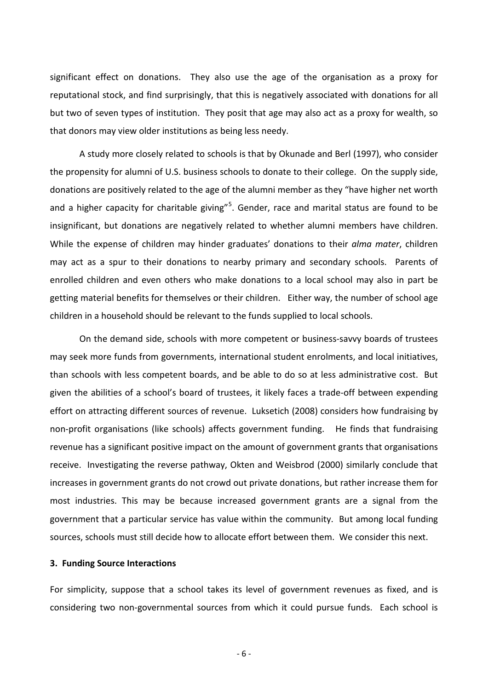significant effect on donations. They also use the age of the organisation as a proxy for reputational stock, and find surprisingly, that this is negatively associated with donations for all but two of seven types of institution. They posit that age may also act as a proxy for wealth, so that donors may view older institutions as being less needy.

A study more closely related to schools is that by Okunade and Berl (1997), who consider the propensity for alumni of U.S. business schools to donate to their college. On the supply side, donations are positively related to the age of the alumni member as they "have higher net worth and a higher capacity for charitable giving"<sup>[5](#page-40-4)</sup>. Gender, race and marital status are found to be insignificant, but donations are negatively related to whether alumni members have children. While the expense of children may hinder graduates' donations to their *alma mater*, children may act as a spur to their donations to nearby primary and secondary schools. Parents of enrolled children and even others who make donations to a local school may also in part be getting material benefits for themselves or their children. Either way, the number of school age children in a household should be relevant to the funds supplied to local schools.

On the demand side, schools with more competent or business-savvy boards of trustees may seek more funds from governments, international student enrolments, and local initiatives, than schools with less competent boards, and be able to do so at less administrative cost. But given the abilities of a school's board of trustees, it likely faces a trade-off between expending effort on attracting different sources of revenue. Luksetich (2008) considers how fundraising by non-profit organisations (like schools) affects government funding. He finds that fundraising revenue has a significant positive impact on the amount of government grants that organisations receive. Investigating the reverse pathway, Okten and Weisbrod (2000) similarly conclude that increases in government grants do not crowd out private donations, but rather increase them for most industries. This may be because increased government grants are a signal from the government that a particular service has value within the community. But among local funding sources, schools must still decide how to allocate effort between them. We consider this next.

#### **3. Funding Source Interactions**

For simplicity, suppose that a school takes its level of government revenues as fixed, and is considering two non-governmental sources from which it could pursue funds. Each school is

- 6 -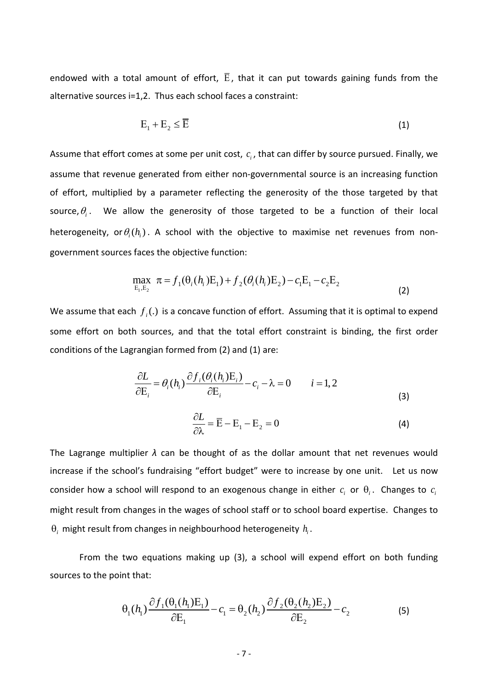endowed with a total amount of effort,  $\overline{E}$ , that it can put towards gaining funds from the alternative sources i=1,2. Thus each school faces a constraint:

$$
E_1 + E_2 \le \overline{E} \tag{1}
$$

Assume that effort comes at some per unit cost,  $c_i$ , that can differ by source pursued. Finally, we assume that revenue generated from either non-governmental source is an increasing function of effort, multiplied by a parameter reflecting the generosity of the those targeted by that source,  $\theta_i$ . We allow the generosity of those targeted to be a function of their local heterogeneity, or  $\theta_i(h_i)$ . A school with the objective to maximise net revenues from nongovernment sources faces the objective function:

$$
\max_{E_1, E_2} \ \pi = f_1(\theta_i(h_i)E_1) + f_2(\theta_i(h_i)E_2) - c_1E_1 - c_2E_2
$$
\n(2)

We assume that each  $f_i(.)$  is a concave function of effort. Assuming that it is optimal to expend some effort on both sources, and that the total effort constraint is binding, the first order conditions of the Lagrangian formed from (2) and (1) are:

$$
\frac{\partial L}{\partial E_i} = \theta_i(h_i) \frac{\partial f_i(\theta_i(h_i) E_i)}{\partial E_i} - c_i - \lambda = 0 \qquad i = 1, 2
$$
\n(3)

$$
\frac{\partial L}{\partial \lambda} = \overline{E} - E_1 - E_2 = 0 \tag{4}
$$

The Lagrange multiplier *λ* can be thought of as the dollar amount that net revenues would increase if the school's fundraising "effort budget" were to increase by one unit. Let us now consider how a school will respond to an exogenous change in either  $c_i$  or  $\theta_i$ . Changes to  $c_i$ might result from changes in the wages of school staff or to school board expertise. Changes to θ<sub>*i*</sub> might result from changes in neighbourhood heterogeneity *h<sub>i</sub>*.

From the two equations making up (3), a school will expend effort on both funding sources to the point that:

$$
\theta_1(h_1) \frac{\partial f_1(\theta_1(h_1)E_1)}{\partial E_1} - c_1 = \theta_2(h_2) \frac{\partial f_2(\theta_2(h_2)E_2)}{\partial E_2} - c_2
$$
\n(5)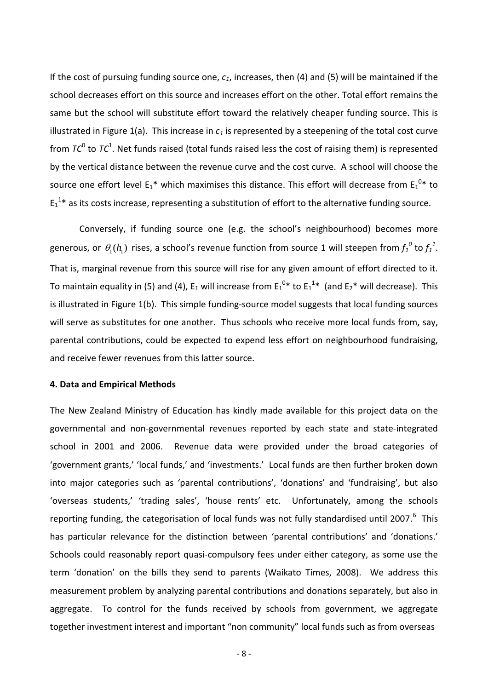If the cost of pursuing funding source one, *c1*, increases, then (4) and (5) will be maintained if the school decreases effort on this source and increases effort on the other. Total effort remains the same but the school will substitute effort toward the relatively cheaper funding source. This is illustrated in Figure 1(a). This increase in  $c_1$  is represented by a steepening of the total cost curve from *TC*<sup>0</sup> to *TC*<sup>1</sup>. Net funds raised (total funds raised less the cost of raising them) is represented by the vertical distance between the revenue curve and the cost curve. A school will choose the source one effort level  $E_1^*$  which maximises this distance. This effort will decrease from  $E_1^{\,0*}$  to  $\mathsf{E_1}^\mathsf{1*}$  as its costs increase, representing a substitution of effort to the alternative funding source.

Conversely, if funding source one (e.g. the school's neighbourhood) becomes more generous, or  $\theta_1(h_1)$  rises, a school's revenue function from source 1 will steepen from  $f_1{}^0$  to  $f_1{}^1$ . That is, marginal revenue from this source will rise for any given amount of effort directed to it. To maintain equality in (5) and (4),  $E_1$  will increase from  $E_1^{0*}$  to  $E_1^{1*}$  (and  $E_2^*$  will decrease). This is illustrated in Figure 1(b). This simple funding-source model suggests that local funding sources will serve as substitutes for one another. Thus schools who receive more local funds from, say, parental contributions, could be expected to expend less effort on neighbourhood fundraising, and receive fewer revenues from this latter source.

#### **4. Data and Empirical Methods**

The New Zealand Ministry of Education has kindly made available for this project data on the governmental and non-governmental revenues reported by each state and state-integrated school in 2001 and 2006. Revenue data were provided under the broad categories of 'government grants,' 'local funds,' and 'investments.' Local funds are then further broken down into major categories such as 'parental contributions', 'donations' and 'fundraising', but also 'overseas students,' 'trading sales', 'house rents' etc. Unfortunately, among the schools reporting funding, the categorisation of local funds was not fully standardised until 2007.<sup>[6](#page-40-5)</sup> This has particular relevance for the distinction between 'parental contributions' and 'donations.' Schools could reasonably report quasi-compulsory fees under either category, as some use the term 'donation' on the bills they send to parents (Waikato Times, 2008). We address this measurement problem by analyzing parental contributions and donations separately, but also in aggregate. To control for the funds received by schools from government, we aggregate together investment interest and important "non community" local funds such as from overseas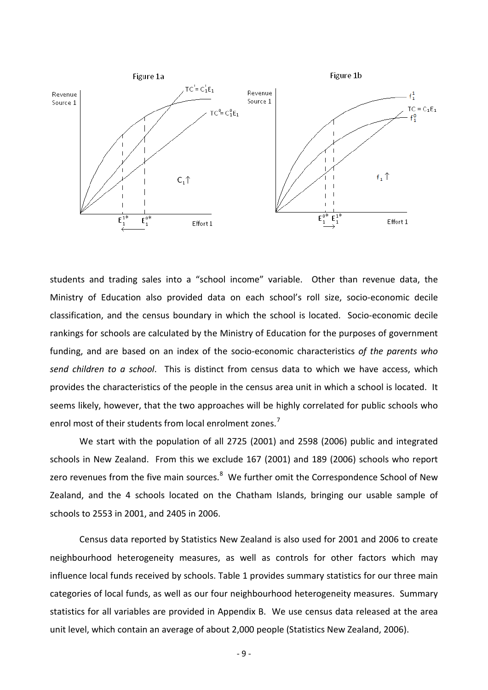

students and trading sales into a "school income" variable. Other than revenue data, the Ministry of Education also provided data on each school's roll size, socio-economic decile classification, and the census boundary in which the school is located. Socio-economic decile rankings for schools are calculated by the Ministry of Education for the purposes of government funding, and are based on an index of the socio-economic characteristics *of the parents who send children to a school*. This is distinct from census data to which we have access, which provides the characteristics of the people in the census area unit in which a school is located. It seems likely, however, that the two approaches will be highly correlated for public schools who enrol most of their students from local enrolment zones.<sup>[7](#page-40-6)</sup>

We start with the population of all 2725 (2001) and 2598 (2006) public and integrated schools in New Zealand. From this we exclude 167 (2001) and 189 (2006) schools who report zero revenues from the five main sources.<sup>[8](#page-40-7)</sup> We further omit the Correspondence School of New Zealand, and the 4 schools located on the Chatham Islands, bringing our usable sample of schools to 2553 in 2001, and 2405 in 2006.

Census data reported by Statistics New Zealand is also used for 2001 and 2006 to create neighbourhood heterogeneity measures, as well as controls for other factors which may influence local funds received by schools. Table 1 provides summary statistics for our three main categories of local funds, as well as our four neighbourhood heterogeneity measures. Summary statistics for all variables are provided in Appendix B. We use census data released at the area unit level, which contain an average of about 2,000 people (Statistics New Zealand, 2006).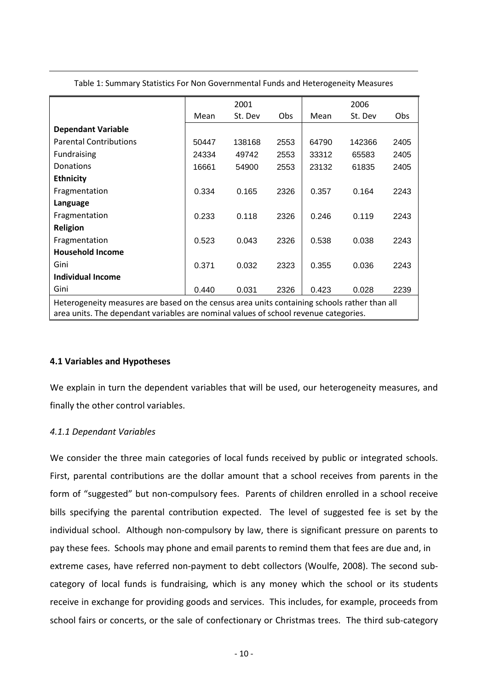|                                                                                              |       | 2001    |      |       | 2006    |            |  |  |
|----------------------------------------------------------------------------------------------|-------|---------|------|-------|---------|------------|--|--|
|                                                                                              | Mean  | St. Dev | Obs  | Mean  | St. Dev | <b>Obs</b> |  |  |
| <b>Dependant Variable</b>                                                                    |       |         |      |       |         |            |  |  |
| <b>Parental Contributions</b>                                                                | 50447 | 138168  | 2553 | 64790 | 142366  | 2405       |  |  |
| Fundraising                                                                                  | 24334 | 49742   | 2553 | 33312 | 65583   | 2405       |  |  |
| <b>Donations</b>                                                                             | 16661 | 54900   | 2553 | 23132 | 61835   | 2405       |  |  |
| <b>Ethnicity</b>                                                                             |       |         |      |       |         |            |  |  |
| Fragmentation                                                                                | 0.334 | 0.165   | 2326 | 0.357 | 0.164   | 2243       |  |  |
| Language                                                                                     |       |         |      |       |         |            |  |  |
| Fragmentation                                                                                | 0.233 | 0.118   | 2326 | 0.246 | 0.119   | 2243       |  |  |
| Religion                                                                                     |       |         |      |       |         |            |  |  |
| Fragmentation                                                                                | 0.523 | 0.043   | 2326 | 0.538 | 0.038   | 2243       |  |  |
| <b>Household Income</b>                                                                      |       |         |      |       |         |            |  |  |
| Gini                                                                                         | 0.371 | 0.032   | 2323 | 0.355 | 0.036   | 2243       |  |  |
| <b>Individual Income</b>                                                                     |       |         |      |       |         |            |  |  |
| Gini                                                                                         | 0.440 | 0.031   | 2326 | 0.423 | 0.028   | 2239       |  |  |
| Heterogeneity measures are based on the census area units containing schools rather than all |       |         |      |       |         |            |  |  |
| area units. The dependant variables are nominal values of school revenue categories.         |       |         |      |       |         |            |  |  |

Table 1: Summary Statistics For Non Governmental Funds and Heterogeneity Measures

## **4.1 Variables and Hypotheses**

We explain in turn the dependent variables that will be used, our heterogeneity measures, and finally the other control variables.

## *4.1.1 Dependant Variables*

We consider the three main categories of local funds received by public or integrated schools. First, parental contributions are the dollar amount that a school receives from parents in the form of "suggested" but non-compulsory fees. Parents of children enrolled in a school receive bills specifying the parental contribution expected. The level of suggested fee is set by the individual school. Although non-compulsory by law, there is significant pressure on parents to pay these fees. Schools may phone and email parents to remind them that fees are due and, in extreme cases, have referred non-payment to debt collectors (Woulfe, 2008). The second subcategory of local funds is fundraising, which is any money which the school or its students receive in exchange for providing goods and services. This includes, for example, proceeds from school fairs or concerts, or the sale of confectionary or Christmas trees. The third sub-category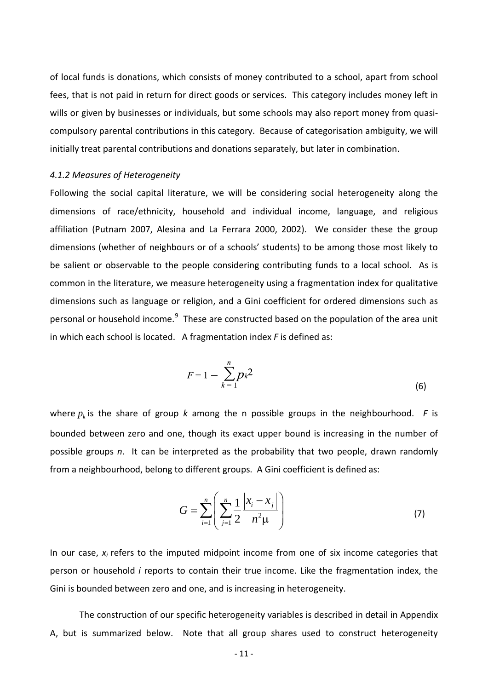of local funds is donations, which consists of money contributed to a school, apart from school fees, that is not paid in return for direct goods or services. This category includes money left in wills or given by businesses or individuals, but some schools may also report money from quasicompulsory parental contributions in this category. Because of categorisation ambiguity, we will initially treat parental contributions and donations separately, but later in combination.

#### *4.1.2 Measures of Heterogeneity*

Following the social capital literature, we will be considering social heterogeneity along the dimensions of race/ethnicity, household and individual income, language, and religious affiliation (Putnam 2007, Alesina and La Ferrara 2000, 2002). We consider these the group dimensions (whether of neighbours or of a schools' students) to be among those most likely to be salient or observable to the people considering contributing funds to a local school. As is common in the literature, we measure heterogeneity using a fragmentation index for qualitative dimensions such as language or religion, and a Gini coefficient for ordered dimensions such as personal or household income.<sup>[9](#page-40-8)</sup> These are constructed based on the population of the area unit in which each school is located. A fragmentation index *F* is defined as:

$$
F = 1 - \sum_{k=1}^{n} p_k^2
$$
 (6)

where  $p_k$  is the share of group k among the n possible groups in the neighbourhood. F is bounded between zero and one, though its exact upper bound is increasing in the number of possible groups *n*. It can be interpreted as the probability that two people, drawn randomly from a neighbourhood, belong to different groups. A Gini coefficient is defined as:

$$
G = \sum_{i=1}^{n} \left( \sum_{j=1}^{n} \frac{1}{2} \frac{|x_i - x_j|}{n^2 \mu} \right)
$$
 (7)

In our case, *xi* refers to the imputed midpoint income from one of six income categories that person or household *i* reports to contain their true income. Like the fragmentation index, the Gini is bounded between zero and one, and is increasing in heterogeneity.

The construction of our specific heterogeneity variables is described in detail in Appendix A, but is summarized below. Note that all group shares used to construct heterogeneity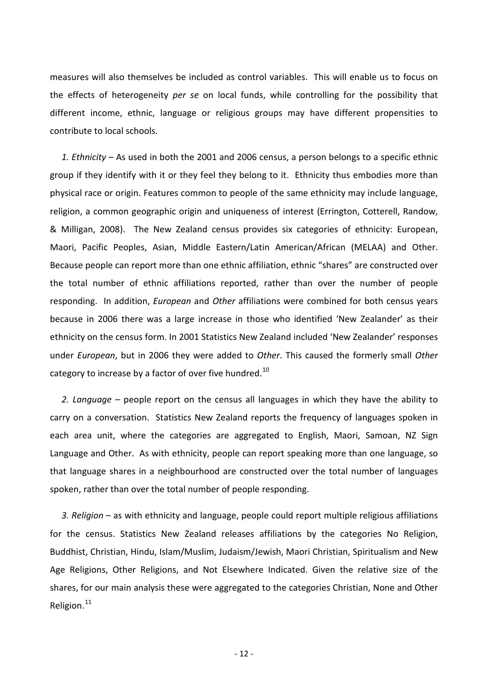measures will also themselves be included as control variables. This will enable us to focus on the effects of heterogeneity *per se* on local funds, while controlling for the possibility that different income, ethnic, language or religious groups may have different propensities to contribute to local schools.

*1. Ethnicity* – As used in both the 2001 and 2006 census, a person belongs to a specific ethnic group if they identify with it or they feel they belong to it. Ethnicity thus embodies more than physical race or origin. Features common to people of the same ethnicity may include language, religion, a common geographic origin and uniqueness of interest (Errington, Cotterell, Randow, & Milligan, 2008). The New Zealand census provides six categories of ethnicity: European, Maori, Pacific Peoples, Asian, Middle Eastern/Latin American/African (MELAA) and Other. Because people can report more than one ethnic affiliation, ethnic "shares" are constructed over the total number of ethnic affiliations reported, rather than over the number of people responding. In addition, *European* and *Other* affiliations were combined for both census years because in 2006 there was a large increase in those who identified 'New Zealander' as their ethnicity on the census form. In 2001 Statistics New Zealand included 'New Zealander' responses under *European*, but in 2006 they were added to *Other*. This caused the formerly small *Other* category to increase by a factor of over five hundred.  $^{10}$  $^{10}$  $^{10}$ 

*2. Language* – people report on the census all languages in which they have the ability to carry on a conversation. Statistics New Zealand reports the frequency of languages spoken in each area unit, where the categories are aggregated to English, Maori, Samoan, NZ Sign Language and Other. As with ethnicity, people can report speaking more than one language, so that language shares in a neighbourhood are constructed over the total number of languages spoken, rather than over the total number of people responding.

*3. Religion* – as with ethnicity and language, people could report multiple religious affiliations for the census. Statistics New Zealand releases affiliations by the categories No Religion, Buddhist, Christian, Hindu, Islam/Muslim, Judaism/Jewish, Maori Christian, Spiritualism and New Age Religions, Other Religions, and Not Elsewhere Indicated. Given the relative size of the shares, for our main analysis these were aggregated to the categories Christian, None and Other Religion.<sup>[11](#page-40-10)</sup>

- 12 -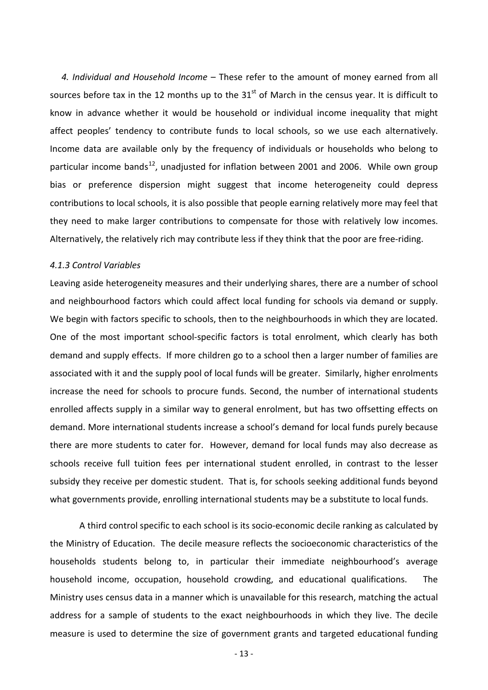*4. Individual and Household Income* – These refer to the amount of money earned from all sources before tax in the 12 months up to the  $31<sup>st</sup>$  of March in the census year. It is difficult to know in advance whether it would be household or individual income inequality that might affect peoples' tendency to contribute funds to local schools, so we use each alternatively. Income data are available only by the frequency of individuals or households who belong to particular income bands<sup>[12](#page-40-11)</sup>, unadjusted for inflation between 2001 and 2006. While own group bias or preference dispersion might suggest that income heterogeneity could depress contributions to local schools, it is also possible that people earning relatively more may feel that they need to make larger contributions to compensate for those with relatively low incomes. Alternatively, the relatively rich may contribute less if they think that the poor are free-riding.

## *4.1.3 Control Variables*

Leaving aside heterogeneity measures and their underlying shares, there are a number of school and neighbourhood factors which could affect local funding for schools via demand or supply. We begin with factors specific to schools, then to the neighbourhoods in which they are located. One of the most important school-specific factors is total enrolment, which clearly has both demand and supply effects. If more children go to a school then a larger number of families are associated with it and the supply pool of local funds will be greater. Similarly, higher enrolments increase the need for schools to procure funds. Second, the number of international students enrolled affects supply in a similar way to general enrolment, but has two offsetting effects on demand. More international students increase a school's demand for local funds purely because there are more students to cater for. However, demand for local funds may also decrease as schools receive full tuition fees per international student enrolled, in contrast to the lesser subsidy they receive per domestic student. That is, for schools seeking additional funds beyond what governments provide, enrolling international students may be a substitute to local funds.

A third control specific to each school is its socio-economic decile ranking as calculated by the Ministry of Education. The decile measure reflects the socioeconomic characteristics of the households students belong to, in particular their immediate neighbourhood's average household income, occupation, household crowding, and educational qualifications. The Ministry uses census data in a manner which is unavailable for this research, matching the actual address for a sample of students to the exact neighbourhoods in which they live. The decile measure is used to determine the size of government grants and targeted educational funding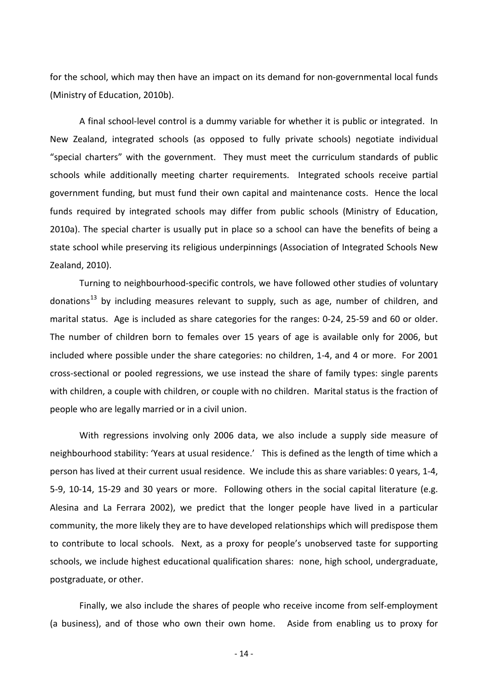for the school, which may then have an impact on its demand for non-governmental local funds (Ministry of Education, 2010b).

A final school-level control is a dummy variable for whether it is public or integrated. In New Zealand, integrated schools (as opposed to fully private schools) negotiate individual "special charters" with the government. They must meet the curriculum standards of public schools while additionally meeting charter requirements. Integrated schools receive partial government funding, but must fund their own capital and maintenance costs. Hence the local funds required by integrated schools may differ from public schools (Ministry of Education, 2010a). The special charter is usually put in place so a school can have the benefits of being a state school while preserving its religious underpinnings (Association of Integrated Schools New Zealand, 2010).

Turning to neighbourhood-specific controls, we have followed other studies of voluntary donations<sup>[13](#page-40-12)</sup> by including measures relevant to supply, such as age, number of children, and marital status. Age is included as share categories for the ranges: 0-24, 25-59 and 60 or older. The number of children born to females over 15 years of age is available only for 2006, but included where possible under the share categories: no children, 1-4, and 4 or more. For 2001 cross-sectional or pooled regressions, we use instead the share of family types: single parents with children, a couple with children, or couple with no children. Marital status is the fraction of people who are legally married or in a civil union.

With regressions involving only 2006 data, we also include a supply side measure of neighbourhood stability: 'Years at usual residence.' This is defined as the length of time which a person has lived at their current usual residence. We include this as share variables: 0 years, 1-4, 5-9, 10-14, 15-29 and 30 years or more. Following others in the social capital literature (e.g. Alesina and La Ferrara 2002), we predict that the longer people have lived in a particular community, the more likely they are to have developed relationships which will predispose them to contribute to local schools. Next, as a proxy for people's unobserved taste for supporting schools, we include highest educational qualification shares: none, high school, undergraduate, postgraduate, or other.

Finally, we also include the shares of people who receive income from self-employment (a business), and of those who own their own home. Aside from enabling us to proxy for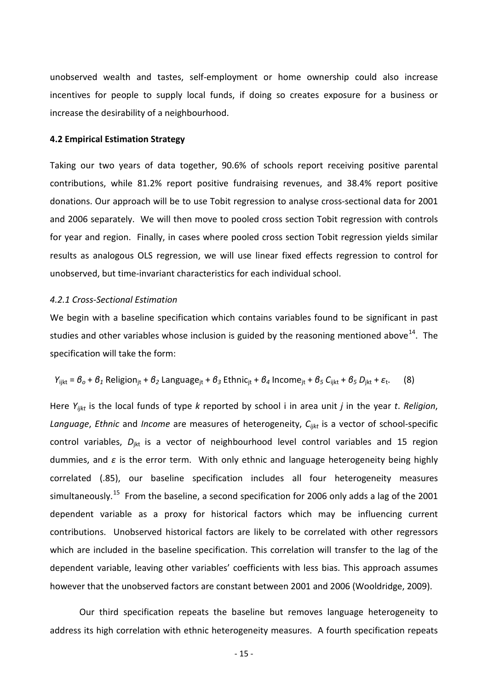unobserved wealth and tastes, self-employment or home ownership could also increase incentives for people to supply local funds, if doing so creates exposure for a business or increase the desirability of a neighbourhood.

#### **4.2 Empirical Estimation Strategy**

Taking our two years of data together, 90.6% of schools report receiving positive parental contributions, while 81.2% report positive fundraising revenues, and 38.4% report positive donations. Our approach will be to use Tobit regression to analyse cross-sectional data for 2001 and 2006 separately. We will then move to pooled cross section Tobit regression with controls for year and region. Finally, in cases where pooled cross section Tobit regression yields similar results as analogous OLS regression, we will use linear fixed effects regression to control for unobserved, but time-invariant characteristics for each individual school.

#### *4.2.1 Cross-Sectional Estimation*

We begin with a baseline specification which contains variables found to be significant in past studies and other variables whose inclusion is guided by the reasoning mentioned above<sup>[14](#page-40-13)</sup>. The specification will take the form:

$$
Y_{ijkl} = \beta_o + \beta_1 \text{ Religion}_{jt} + \beta_2 \text{ Language}_{jt} + \beta_3 \text{Ethnic}_{jt} + \beta_4 \text{ Income}_{jt} + \beta_5 C_{ijkl} + \beta_5 D_{jkt} + \varepsilon_t.
$$
 (8)

Here *Yijkt* is the local funds of type *k* reported by school i in area unit *j* in the year *t*. *Religion*, *Language*, *Ethnic* and *Income* are measures of heterogeneity, *Cijkt* is a vector of school-specific control variables,  $D_{jkt}$  is a vector of neighbourhood level control variables and 15 region dummies, and *ε* is the error term. With only ethnic and language heterogeneity being highly correlated (.85), our baseline specification includes all four heterogeneity measures simultaneously.<sup>[15](#page-40-14)</sup> From the baseline, a second specification for 2006 only adds a lag of the 2001 dependent variable as a proxy for historical factors which may be influencing current contributions. Unobserved historical factors are likely to be correlated with other regressors which are included in the baseline specification. This correlation will transfer to the lag of the dependent variable, leaving other variables' coefficients with less bias. This approach assumes however that the unobserved factors are constant between 2001 and 2006 (Wooldridge, 2009).

Our third specification repeats the baseline but removes language heterogeneity to address its high correlation with ethnic heterogeneity measures. A fourth specification repeats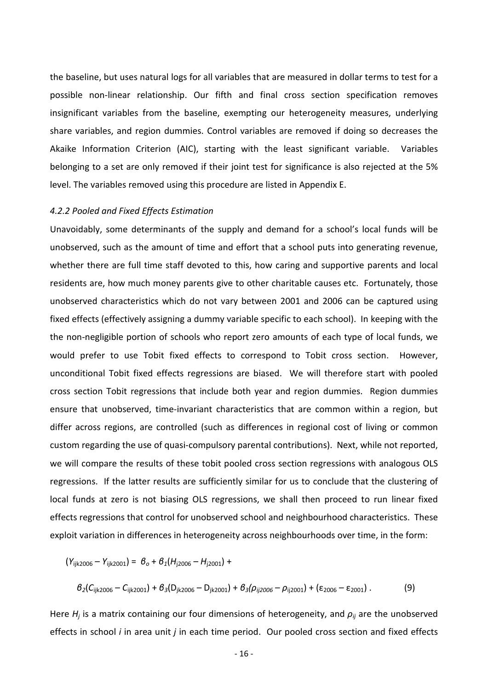the baseline, but uses natural logs for all variables that are measured in dollar terms to test for a possible non-linear relationship. Our fifth and final cross section specification removes insignificant variables from the baseline, exempting our heterogeneity measures, underlying share variables, and region dummies. Control variables are removed if doing so decreases the Akaike Information Criterion (AIC), starting with the least significant variable. Variables belonging to a set are only removed if their joint test for significance is also rejected at the 5% level. The variables removed using this procedure are listed in Appendix E.

#### *4.2.2 Pooled and Fixed Effects Estimation*

Unavoidably, some determinants of the supply and demand for a school's local funds will be unobserved, such as the amount of time and effort that a school puts into generating revenue, whether there are full time staff devoted to this, how caring and supportive parents and local residents are, how much money parents give to other charitable causes etc. Fortunately, those unobserved characteristics which do not vary between 2001 and 2006 can be captured using fixed effects (effectively assigning a dummy variable specific to each school). In keeping with the the non-negligible portion of schools who report zero amounts of each type of local funds, we would prefer to use Tobit fixed effects to correspond to Tobit cross section. However, unconditional Tobit fixed effects regressions are biased. We will therefore start with pooled cross section Tobit regressions that include both year and region dummies. Region dummies ensure that unobserved, time-invariant characteristics that are common within a region, but differ across regions, are controlled (such as differences in regional cost of living or common custom regarding the use of quasi-compulsory parental contributions). Next, while not reported, we will compare the results of these tobit pooled cross section regressions with analogous OLS regressions. If the latter results are sufficiently similar for us to conclude that the clustering of local funds at zero is not biasing OLS regressions, we shall then proceed to run linear fixed effects regressions that control for unobserved school and neighbourhood characteristics. These exploit variation in differences in heterogeneity across neighbourhoods over time, in the form:

 $(Y_{iik2006} - Y_{iik2001}) = \theta_0 + \theta_1 (H_{i2006} - H_{i2001}) +$ 

$$
\beta_2(C_{ijk2006}-C_{ijk2001})+\beta_3(D_{jk2006}-D_{jk2001})+\beta_3(\rho_{ij2006}-\rho_{ij2001})+(\epsilon_{2006}-\epsilon_{2001}).
$$
 (9)

Here  $H_i$  is a matrix containing our four dimensions of heterogeneity, and  $\rho_{ii}$  are the unobserved effects in school *i* in area unit *j* in each time period. Our pooled cross section and fixed effects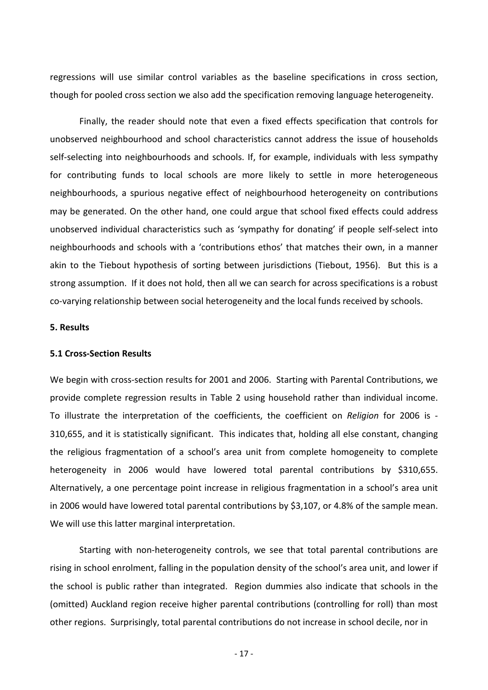regressions will use similar control variables as the baseline specifications in cross section, though for pooled cross section we also add the specification removing language heterogeneity.

Finally, the reader should note that even a fixed effects specification that controls for unobserved neighbourhood and school characteristics cannot address the issue of households self-selecting into neighbourhoods and schools. If, for example, individuals with less sympathy for contributing funds to local schools are more likely to settle in more heterogeneous neighbourhoods, a spurious negative effect of neighbourhood heterogeneity on contributions may be generated. On the other hand, one could argue that school fixed effects could address unobserved individual characteristics such as 'sympathy for donating' if people self-select into neighbourhoods and schools with a 'contributions ethos' that matches their own, in a manner akin to the Tiebout hypothesis of sorting between jurisdictions (Tiebout, 1956). But this is a strong assumption. If it does not hold, then all we can search for across specifications is a robust co-varying relationship between social heterogeneity and the local funds received by schools.

#### **5. Results**

#### **5.1 Cross-Section Results**

We begin with cross-section results for 2001 and 2006. Starting with Parental Contributions, we provide complete regression results in Table 2 using household rather than individual income. To illustrate the interpretation of the coefficients, the coefficient on *Religion* for 2006 is - 310,655, and it is statistically significant. This indicates that, holding all else constant, changing the religious fragmentation of a school's area unit from complete homogeneity to complete heterogeneity in 2006 would have lowered total parental contributions by \$310,655. Alternatively, a one percentage point increase in religious fragmentation in a school's area unit in 2006 would have lowered total parental contributions by \$3,107, or 4.8% of the sample mean. We will use this latter marginal interpretation.

Starting with non-heterogeneity controls, we see that total parental contributions are rising in school enrolment, falling in the population density of the school's area unit, and lower if the school is public rather than integrated. Region dummies also indicate that schools in the (omitted) Auckland region receive higher parental contributions (controlling for roll) than most other regions. Surprisingly, total parental contributions do not increase in school decile, nor in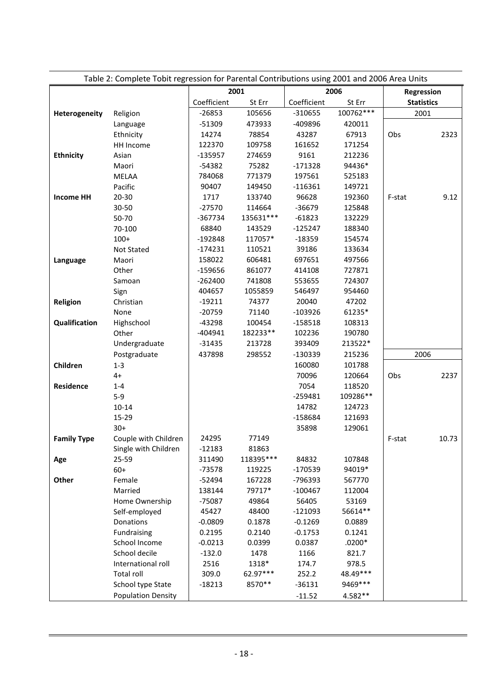|                    | Table 2: Complete Tobit regression for Parental Contributions using 2001 and 2006 Area Units |             |            |             |            |                   |       |
|--------------------|----------------------------------------------------------------------------------------------|-------------|------------|-------------|------------|-------------------|-------|
|                    |                                                                                              |             | 2001       |             | 2006       | <b>Regression</b> |       |
|                    |                                                                                              | Coefficient | St Err     | Coefficient | St Err     | <b>Statistics</b> |       |
| Heterogeneity      | Religion                                                                                     | $-26853$    | 105656     | $-310655$   | 100762 *** | 2001              |       |
|                    | Language                                                                                     | $-51309$    | 473933     | -409896     | 420011     |                   |       |
|                    | Ethnicity                                                                                    | 14274       | 78854      | 43287       | 67913      | Obs               | 2323  |
|                    | HH Income                                                                                    | 122370      | 109758     | 161652      | 171254     |                   |       |
| <b>Ethnicity</b>   | Asian                                                                                        | $-135957$   | 274659     | 9161        | 212236     |                   |       |
|                    | Maori                                                                                        | $-54382$    | 75282      | $-171328$   | 94436*     |                   |       |
|                    | <b>MELAA</b>                                                                                 | 784068      | 771379     | 197561      | 525183     |                   |       |
|                    | Pacific                                                                                      | 90407       | 149450     | $-116361$   | 149721     |                   |       |
| <b>Income HH</b>   | 20-30                                                                                        | 1717        | 133740     | 96628       | 192360     | F-stat            | 9.12  |
|                    | 30-50                                                                                        | $-27570$    | 114664     | $-36679$    | 125848     |                   |       |
|                    | 50-70                                                                                        | -367734     | 135631 *** | $-61823$    | 132229     |                   |       |
|                    | 70-100                                                                                       | 68840       | 143529     | $-125247$   | 188340     |                   |       |
|                    | $100+$                                                                                       | $-192848$   | 117057*    | $-18359$    | 154574     |                   |       |
|                    | Not Stated                                                                                   | $-174231$   | 110521     | 39186       | 133634     |                   |       |
| Language           | Maori                                                                                        | 158022      | 606481     | 697651      | 497566     |                   |       |
|                    | Other                                                                                        | $-159656$   | 861077     | 414108      | 727871     |                   |       |
|                    | Samoan                                                                                       | $-262400$   | 741808     | 553655      | 724307     |                   |       |
|                    | Sign                                                                                         | 404657      | 1055859    | 546497      | 954460     |                   |       |
| <b>Religion</b>    | Christian                                                                                    | $-19211$    | 74377      | 20040       | 47202      |                   |       |
|                    | None                                                                                         | $-20759$    | 71140      | $-103926$   | 61235*     |                   |       |
| Qualification      | Highschool                                                                                   | $-43298$    | 100454     | $-158518$   | 108313     |                   |       |
|                    | Other                                                                                        | $-404941$   | 182233**   | 102236      | 190780     |                   |       |
|                    | Undergraduate                                                                                | $-31435$    | 213728     | 393409      | 213522*    |                   |       |
|                    | Postgraduate                                                                                 | 437898      | 298552     | -130339     | 215236     | 2006              |       |
| Children           | $1-3$                                                                                        |             |            | 160080      | 101788     |                   |       |
|                    | $4+$                                                                                         |             |            | 70096       | 120664     | Obs               | 2237  |
| Residence          | $1 - 4$                                                                                      |             |            | 7054        | 118520     |                   |       |
|                    | $5-9$                                                                                        |             |            | $-259481$   | 109286**   |                   |       |
|                    | $10 - 14$                                                                                    |             |            | 14782       | 124723     |                   |       |
|                    | 15-29                                                                                        |             |            | -158684     | 121693     |                   |       |
|                    | $30+$                                                                                        |             |            | 35898       | 129061     |                   |       |
| <b>Family Type</b> | Couple with Children                                                                         | 24295       | 77149      |             |            | F-stat            | 10.73 |
|                    | Single with Children                                                                         | $-12183$    | 81863      |             |            |                   |       |
| Age                | 25-59                                                                                        | 311490      | 118395***  | 84832       | 107848     |                   |       |
|                    | $60+$                                                                                        | $-73578$    | 119225     | -170539     | 94019*     |                   |       |
| Other              | Female                                                                                       | -52494      | 167228     | -796393     | 567770     |                   |       |
|                    | Married                                                                                      | 138144      | 79717*     | $-100467$   | 112004     |                   |       |
|                    | Home Ownership                                                                               | -75087      | 49864      | 56405       | 53169      |                   |       |
|                    | Self-employed                                                                                | 45427       | 48400      | $-121093$   | 56614**    |                   |       |
|                    | Donations                                                                                    | $-0.0809$   | 0.1878     | $-0.1269$   | 0.0889     |                   |       |
|                    | Fundraising                                                                                  | 0.2195      | 0.2140     | $-0.1753$   | 0.1241     |                   |       |
|                    | School Income                                                                                | $-0.0213$   | 0.0399     | 0.0387      | $.0200*$   |                   |       |
|                    | School decile                                                                                | $-132.0$    | 1478       | 1166        | 821.7      |                   |       |
|                    | International roll                                                                           | 2516        | 1318*      | 174.7       | 978.5      |                   |       |
|                    | <b>Total roll</b>                                                                            | 309.0       | 62.97***   | 252.2       | 48.49***   |                   |       |
|                    | School type State                                                                            | $-18213$    | 8570**     | $-36131$    | 9469 ***   |                   |       |
|                    | <b>Population Density</b>                                                                    |             |            | $-11.52$    | 4.582**    |                   |       |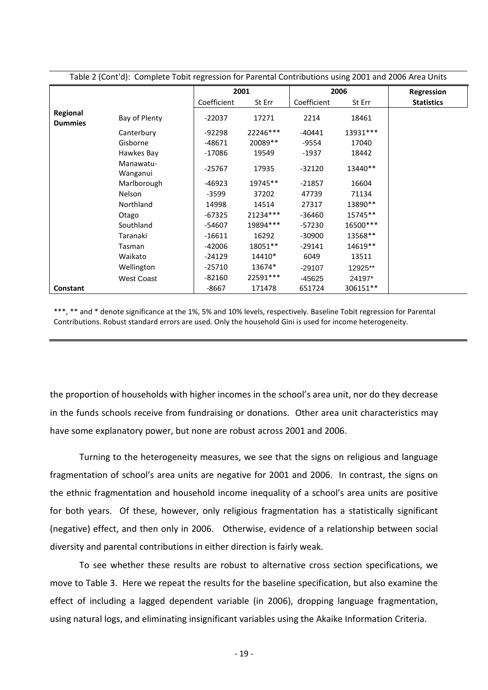| Table 2 (Cont d):  Complete Tobit regression for Parental Contributions using 2001 and 2006 Area Units |                       |             |           |             |           |                   |  |  |  |
|--------------------------------------------------------------------------------------------------------|-----------------------|-------------|-----------|-------------|-----------|-------------------|--|--|--|
|                                                                                                        |                       |             | 2001      |             | 2006      | Regression        |  |  |  |
|                                                                                                        |                       | Coefficient | St Err    | Coefficient | St Err    | <b>Statistics</b> |  |  |  |
| Regional<br><b>Dummies</b>                                                                             | Bay of Plenty         | $-22037$    | 17271     | 2214        | 18461     |                   |  |  |  |
|                                                                                                        | Canterbury            | -92298      | 22246***  | $-40441$    | 13931***  |                   |  |  |  |
|                                                                                                        | Gisborne              | $-48671$    | 20089**   | -9554       | 17040     |                   |  |  |  |
|                                                                                                        | Hawkes Bay            | -17086      | 19549     | -1937       | 18442     |                   |  |  |  |
|                                                                                                        | Manawatu-<br>Wanganui | $-25767$    | 17935     | $-32120$    | 13440**   |                   |  |  |  |
|                                                                                                        | Marlborough           | -46923      | 19745**   | $-21857$    | 16604     |                   |  |  |  |
|                                                                                                        | Nelson                | $-3599$     | 37202     | 47739       | 71134     |                   |  |  |  |
|                                                                                                        | Northland             | 14998       | 14514     | 27317       | 13890**   |                   |  |  |  |
|                                                                                                        | Otago                 | -67325      | 21234***  | -36460      | 15745**   |                   |  |  |  |
|                                                                                                        | Southland             | $-54607$    | 19894***  | $-57230$    | 16500 *** |                   |  |  |  |
|                                                                                                        | Taranaki              | $-16611$    | 16292     | $-30900$    | 13568**   |                   |  |  |  |
|                                                                                                        | Tasman                | -42006      | 18051**   | $-29141$    | 14619**   |                   |  |  |  |
|                                                                                                        | Waikato               | $-24129$    | 14410*    | 6049        | 13511     |                   |  |  |  |
|                                                                                                        | Wellington            | $-25710$    | 13674*    | $-29107$    | 12925**   |                   |  |  |  |
|                                                                                                        | <b>West Coast</b>     | $-82160$    | 22591 *** | -45625      | 24197*    |                   |  |  |  |
| Constant                                                                                               |                       | $-8667$     | 171478    | 651724      | 306151**  |                   |  |  |  |

Table 2 (Cont'd): Complete Tobit regression for Parental Contributions using 2001 and 2006 Area Units

\*\*\*, \*\* and \* denote significance at the 1%, 5% and 10% levels, respectively. Baseline Tobit regression for Parental Contributions. Robust standard errors are used. Only the household Gini is used for income heterogeneity.

the proportion of households with higher incomes in the school's area unit, nor do they decrease in the funds schools receive from fundraising or donations. Other area unit characteristics may have some explanatory power, but none are robust across 2001 and 2006.

Turning to the heterogeneity measures, we see that the signs on religious and language fragmentation of school's area units are negative for 2001 and 2006. In contrast, the signs on the ethnic fragmentation and household income inequality of a school's area units are positive for both years. Of these, however, only religious fragmentation has a statistically significant (negative) effect, and then only in 2006. Otherwise, evidence of a relationship between social diversity and parental contributions in either direction is fairly weak.

To see whether these results are robust to alternative cross section specifications, we move to Table 3. Here we repeat the results for the baseline specification, but also examine the effect of including a lagged dependent variable (in 2006), dropping language fragmentation, using natural logs, and eliminating insignificant variables using the Akaike Information Criteria.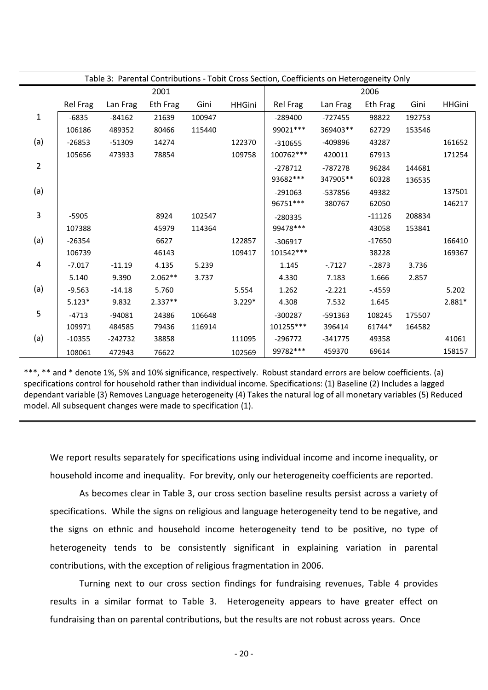|                         | Table 3: Parental Contributions - Tobit Cross Section, Coefficients on Heterogeneity Only |          |           |        |               |                 |           |          |        |               |  |  |
|-------------------------|-------------------------------------------------------------------------------------------|----------|-----------|--------|---------------|-----------------|-----------|----------|--------|---------------|--|--|
|                         |                                                                                           |          | 2001      |        |               |                 |           | 2006     |        |               |  |  |
|                         | Rel Frag                                                                                  | Lan Frag | Eth Frag  | Gini   | <b>HHGini</b> | <b>Rel Frag</b> | Lan Frag  | Eth Frag | Gini   | <b>HHGini</b> |  |  |
| $\mathbf{1}$            | $-6835$                                                                                   | $-84162$ | 21639     | 100947 |               | $-289400$       | $-727455$ | 98822    | 192753 |               |  |  |
|                         | 106186                                                                                    | 489352   | 80466     | 115440 |               | 99021 ***       | 369403**  | 62729    | 153546 |               |  |  |
| (a)                     | $-26853$                                                                                  | $-51309$ | 14274     |        | 122370        | $-310655$       | -409896   | 43287    |        | 161652        |  |  |
|                         | 105656                                                                                    | 473933   | 78854     |        | 109758        | 100762 ***      | 420011    | 67913    |        | 171254        |  |  |
| $\overline{2}$          |                                                                                           |          |           |        |               | $-278712$       | $-787278$ | 96284    | 144681 |               |  |  |
|                         |                                                                                           |          |           |        |               | 93682 ***       | 347905**  | 60328    | 136535 |               |  |  |
| (a)                     |                                                                                           |          |           |        |               | $-291063$       | -537856   | 49382    |        | 137501        |  |  |
|                         |                                                                                           |          |           |        |               | 96751 ***       | 380767    | 62050    |        | 146217        |  |  |
| 3                       | $-5905$                                                                                   |          | 8924      | 102547 |               | $-280335$       |           | $-11126$ | 208834 |               |  |  |
|                         | 107388                                                                                    |          | 45979     | 114364 |               | 99478 ***       |           | 43058    | 153841 |               |  |  |
| (a)                     | $-26354$                                                                                  |          | 6627      |        | 122857        | $-306917$       |           | $-17650$ |        | 166410        |  |  |
|                         | 106739                                                                                    |          | 46143     |        | 109417        | 101542 ***      |           | 38228    |        | 169367        |  |  |
| $\overline{\mathbf{4}}$ | $-7.017$                                                                                  | $-11.19$ | 4.135     | 5.239  |               | 1.145           | $-0.7127$ | $-.2873$ | 3.736  |               |  |  |
|                         | 5.140                                                                                     | 9.390    | $2.062**$ | 3.737  |               | 4.330           | 7.183     | 1.666    | 2.857  |               |  |  |
| (a)                     | $-9.563$                                                                                  | $-14.18$ | 5.760     |        | 5.554         | 1.262           | $-2.221$  | $-4559$  |        | 5.202         |  |  |
|                         | $5.123*$                                                                                  | 9.832    | $2.337**$ |        | $3.229*$      | 4.308           | 7.532     | 1.645    |        | 2.881*        |  |  |
| 5                       | $-4713$                                                                                   | $-94081$ | 24386     | 106648 |               | $-300287$       | -591363   | 108245   | 175507 |               |  |  |
|                         | 109971                                                                                    | 484585   | 79436     | 116914 |               | 101255***       | 396414    | 61744*   | 164582 |               |  |  |
| (a)                     | $-10355$                                                                                  | -242732  | 38858     |        | 111095        | $-296772$       | $-341775$ | 49358    |        | 41061         |  |  |
|                         | 108061                                                                                    | 472943   | 76622     |        | 102569        | 99782 ***       | 459370    | 69614    |        | 158157        |  |  |

\*\*\*, \*\* and \* denote 1%, 5% and 10% significance, respectively. Robust standard errors are below coefficients. (a) specifications control for household rather than individual income. Specifications: (1) Baseline (2) Includes a lagged dependant variable (3) Removes Language heterogeneity (4) Takes the natural log of all monetary variables (5) Reduced model. All subsequent changes were made to specification (1).

We report results separately for specifications using individual income and income inequality, or household income and inequality. For brevity, only our heterogeneity coefficients are reported.

As becomes clear in Table 3, our cross section baseline results persist across a variety of specifications. While the signs on religious and language heterogeneity tend to be negative, and the signs on ethnic and household income heterogeneity tend to be positive, no type of heterogeneity tends to be consistently significant in explaining variation in parental contributions, with the exception of religious fragmentation in 2006.

Turning next to our cross section findings for fundraising revenues, Table 4 provides results in a similar format to Table 3. Heterogeneity appears to have greater effect on fundraising than on parental contributions, but the results are not robust across years. Once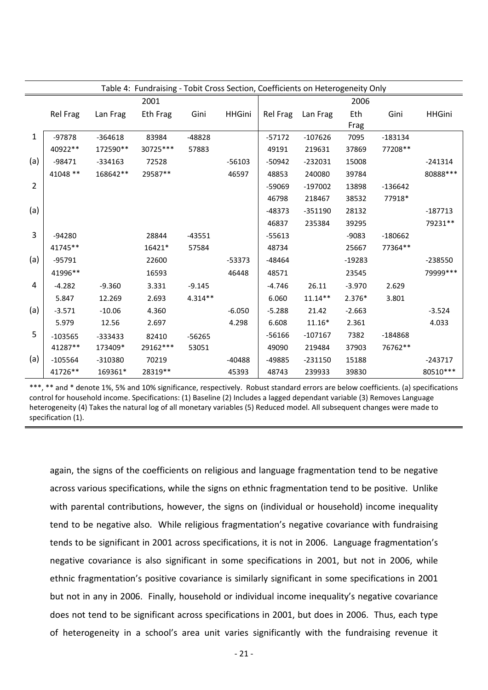|     | Table 4: Fundraising - Tobit Cross Section, Coefficients on Heterogeneity Only |           |           |           |               |          |           |          |           |               |  |
|-----|--------------------------------------------------------------------------------|-----------|-----------|-----------|---------------|----------|-----------|----------|-----------|---------------|--|
|     |                                                                                |           | 2001      |           |               |          |           | 2006     |           |               |  |
|     | <b>Rel Frag</b>                                                                | Lan Frag  | Eth Frag  | Gini      | <b>HHGini</b> | Rel Frag | Lan Frag  | Eth      | Gini      | <b>HHGini</b> |  |
|     |                                                                                |           |           |           |               |          |           | Frag     |           |               |  |
| 1   | -97878                                                                         | $-364618$ | 83984     | -48828    |               | $-57172$ | $-107626$ | 7095     | $-183134$ |               |  |
|     | 40922 **                                                                       | 172590**  | 30725 *** | 57883     |               | 49191    | 219631    | 37869    | 77208**   |               |  |
| (a) | $-98471$                                                                       | $-334163$ | 72528     |           | $-56103$      | $-50942$ | $-232031$ | 15008    |           | $-241314$     |  |
|     | 41048 **                                                                       | 168642**  | 29587**   |           | 46597         | 48853    | 240080    | 39784    |           | 80888***      |  |
| 2   |                                                                                |           |           |           |               | -59069   | $-197002$ | 13898    | $-136642$ |               |  |
|     |                                                                                |           |           |           |               | 46798    | 218467    | 38532    | 77918*    |               |  |
| (a) |                                                                                |           |           |           |               | -48373   | $-351190$ | 28132    |           | $-187713$     |  |
|     |                                                                                |           |           |           |               | 46837    | 235384    | 39295    |           | 79231**       |  |
| 3   | -94280                                                                         |           | 28844     | $-43551$  |               | $-55613$ |           | $-9083$  | $-180662$ |               |  |
|     | 41745**                                                                        |           | 16421*    | 57584     |               | 48734    |           | 25667    | 77364**   |               |  |
| (a) | $-95791$                                                                       |           | 22600     |           | $-53373$      | $-48464$ |           | $-19283$ |           | $-238550$     |  |
|     | 41996**                                                                        |           | 16593     |           | 46448         | 48571    |           | 23545    |           | 79999 ***     |  |
| 4   | $-4.282$                                                                       | $-9.360$  | 3.331     | $-9.145$  |               | $-4.746$ | 26.11     | $-3.970$ | 2.629     |               |  |
|     | 5.847                                                                          | 12.269    | 2.693     | $4.314**$ |               | 6.060    | $11.14**$ | 2.376*   | 3.801     |               |  |
| (a) | $-3.571$                                                                       | $-10.06$  | 4.360     |           | $-6.050$      | $-5.288$ | 21.42     | $-2.663$ |           | $-3.524$      |  |
|     | 5.979                                                                          | 12.56     | 2.697     |           | 4.298         | 6.608    | $11.16*$  | 2.361    |           | 4.033         |  |
| 5   | $-103565$                                                                      | $-333433$ | 82410     | $-56265$  |               | $-56166$ | $-107167$ | 7382     | $-184868$ |               |  |
|     | 41287**                                                                        | 173409*   | 29162 *** | 53051     |               | 49090    | 219484    | 37903    | 76762**   |               |  |
| (a) | $-105564$                                                                      | -310380   | 70219     |           | $-40488$      | -49885   | $-231150$ | 15188    |           | $-243717$     |  |
|     | 41726**                                                                        | 169361*   | 28319**   |           | 45393         | 48743    | 239933    | 39830    |           | 80510 ***     |  |

\*\*\*, \*\* and \* denote 1%, 5% and 10% significance, respectively. Robust standard errors are below coefficients. (a) specifications control for household income. Specifications: (1) Baseline (2) Includes a lagged dependant variable (3) Removes Language heterogeneity (4) Takes the natural log of all monetary variables (5) Reduced model. All subsequent changes were made to specification (1).

again, the signs of the coefficients on religious and language fragmentation tend to be negative across various specifications, while the signs on ethnic fragmentation tend to be positive. Unlike with parental contributions, however, the signs on (individual or household) income inequality tend to be negative also. While religious fragmentation's negative covariance with fundraising tends to be significant in 2001 across specifications, it is not in 2006. Language fragmentation's negative covariance is also significant in some specifications in 2001, but not in 2006, while ethnic fragmentation's positive covariance is similarly significant in some specifications in 2001 but not in any in 2006. Finally, household or individual income inequality's negative covariance does not tend to be significant across specifications in 2001, but does in 2006. Thus, each type of heterogeneity in a school's area unit varies significantly with the fundraising revenue it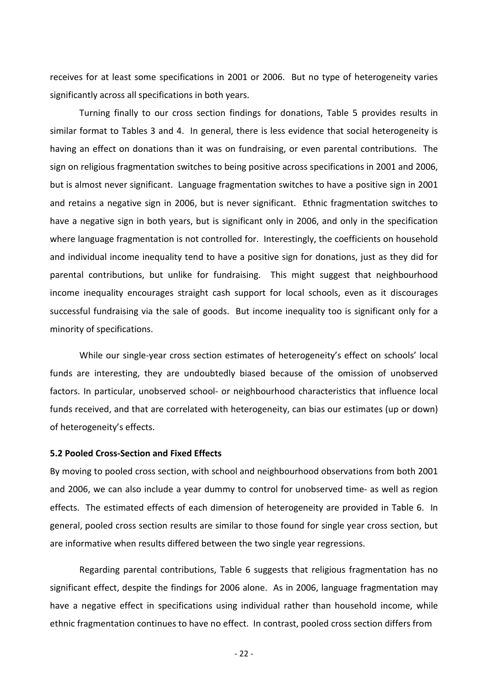receives for at least some specifications in 2001 or 2006. But no type of heterogeneity varies significantly across all specifications in both years.

Turning finally to our cross section findings for donations, Table 5 provides results in similar format to Tables 3 and 4. In general, there is less evidence that social heterogeneity is having an effect on donations than it was on fundraising, or even parental contributions. The sign on religious fragmentation switches to being positive across specifications in 2001 and 2006, but is almost never significant. Language fragmentation switches to have a positive sign in 2001 and retains a negative sign in 2006, but is never significant. Ethnic fragmentation switches to have a negative sign in both years, but is significant only in 2006, and only in the specification where language fragmentation is not controlled for. Interestingly, the coefficients on household and individual income inequality tend to have a positive sign for donations, just as they did for parental contributions, but unlike for fundraising. This might suggest that neighbourhood income inequality encourages straight cash support for local schools, even as it discourages successful fundraising via the sale of goods. But income inequality too is significant only for a minority of specifications.

While our single-year cross section estimates of heterogeneity's effect on schools' local funds are interesting, they are undoubtedly biased because of the omission of unobserved factors. In particular, unobserved school- or neighbourhood characteristics that influence local funds received, and that are correlated with heterogeneity, can bias our estimates (up or down) of heterogeneity's effects.

#### **5.2 Pooled Cross-Section and Fixed Effects**

By moving to pooled cross section, with school and neighbourhood observations from both 2001 and 2006, we can also include a year dummy to control for unobserved time- as well as region effects. The estimated effects of each dimension of heterogeneity are provided in Table 6. In general, pooled cross section results are similar to those found for single year cross section, but are informative when results differed between the two single year regressions.

Regarding parental contributions, Table 6 suggests that religious fragmentation has no significant effect, despite the findings for 2006 alone. As in 2006, language fragmentation may have a negative effect in specifications using individual rather than household income, while ethnic fragmentation continues to have no effect. In contrast, pooled cross section differs from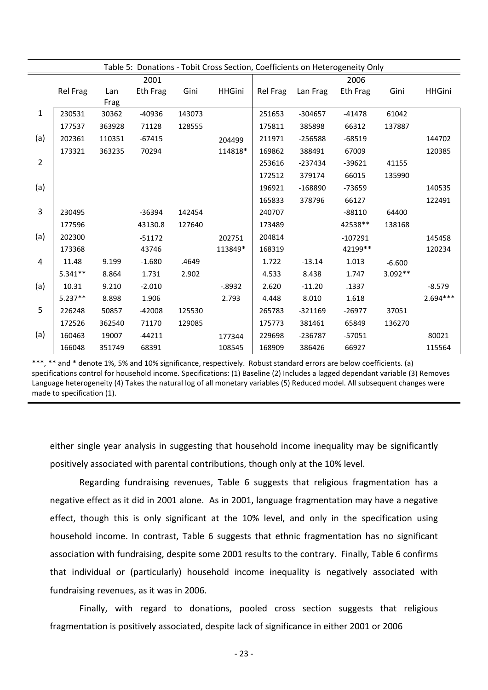|                |                 |        |          |        |               |          |           | Table 5: Donations - Tobit Cross Section, Coefficients on Heterogeneity Only |           |               |
|----------------|-----------------|--------|----------|--------|---------------|----------|-----------|------------------------------------------------------------------------------|-----------|---------------|
|                |                 |        | 2001     |        |               |          |           | 2006                                                                         |           |               |
|                | <b>Rel Frag</b> | Lan    | Eth Frag | Gini   | <b>HHGini</b> | Rel Frag | Lan Frag  | Eth Frag                                                                     | Gini      | <b>HHGini</b> |
|                |                 | Frag   |          |        |               |          |           |                                                                              |           |               |
| $\mathbf{1}$   | 230531          | 30362  | $-40936$ | 143073 |               | 251653   | $-304657$ | $-41478$                                                                     | 61042     |               |
|                | 177537          | 363928 | 71128    | 128555 |               | 175811   | 385898    | 66312                                                                        | 137887    |               |
| (a)            | 202361          | 110351 | $-67415$ |        | 204499        | 211971   | $-256588$ | $-68519$                                                                     |           | 144702        |
|                | 173321          | 363235 | 70294    |        | 114818*       | 169862   | 388491    | 67009                                                                        |           | 120385        |
| $\overline{2}$ |                 |        |          |        |               | 253616   | $-237434$ | $-39621$                                                                     | 41155     |               |
|                |                 |        |          |        |               | 172512   | 379174    | 66015                                                                        | 135990    |               |
| (a)            |                 |        |          |        |               | 196921   | $-168890$ | $-73659$                                                                     |           | 140535        |
|                |                 |        |          |        |               | 165833   | 378796    | 66127                                                                        |           | 122491        |
| 3              | 230495          |        | $-36394$ | 142454 |               | 240707   |           | $-88110$                                                                     | 64400     |               |
|                | 177596          |        | 43130.8  | 127640 |               | 173489   |           | 42538**                                                                      | 138168    |               |
| (a)            | 202300          |        | $-51172$ |        | 202751        | 204814   |           | $-107291$                                                                    |           | 145458        |
|                | 173368          |        | 43746    |        | 113849*       | 168319   |           | 42199**                                                                      |           | 120234        |
| 4              | 11.48           | 9.199  | $-1.680$ | .4649  |               | 1.722    | $-13.14$  | 1.013                                                                        | $-6.600$  |               |
|                | $5.341**$       | 8.864  | 1.731    | 2.902  |               | 4.533    | 8.438     | 1.747                                                                        | $3.092**$ |               |
| (a)            | 10.31           | 9.210  | $-2.010$ |        | $-0.8932$     | 2.620    | $-11.20$  | .1337                                                                        |           | $-8.579$      |
|                | $5.237**$       | 8.898  | 1.906    |        | 2.793         | 4.448    | 8.010     | 1.618                                                                        |           | $2.694***$    |
| 5              | 226248          | 50857  | $-42008$ | 125530 |               | 265783   | $-321169$ | $-26977$                                                                     | 37051     |               |
|                | 172526          | 362540 | 71170    | 129085 |               | 175773   | 381461    | 65849                                                                        | 136270    |               |
| (a)            | 160463          | 19007  | $-44211$ |        | 177344        | 229698   | -236787   | $-57051$                                                                     |           | 80021         |
|                | 166048          | 351749 | 68391    |        | 108545        | 168909   | 386426    | 66927                                                                        |           | 115564        |

\*\*\*, \*\* and \* denote 1%, 5% and 10% significance, respectively. Robust standard errors are below coefficients. (a) specifications control for household income. Specifications: (1) Baseline (2) Includes a lagged dependant variable (3) Removes Language heterogeneity (4) Takes the natural log of all monetary variables (5) Reduced model. All subsequent changes were made to specification (1).

either single year analysis in suggesting that household income inequality may be significantly positively associated with parental contributions, though only at the 10% level.

Regarding fundraising revenues, Table 6 suggests that religious fragmentation has a negative effect as it did in 2001 alone. As in 2001, language fragmentation may have a negative effect, though this is only significant at the 10% level, and only in the specification using household income. In contrast, Table 6 suggests that ethnic fragmentation has no significant association with fundraising, despite some 2001 results to the contrary. Finally, Table 6 confirms that individual or (particularly) household income inequality is negatively associated with fundraising revenues, as it was in 2006.

Finally, with regard to donations, pooled cross section suggests that religious fragmentation is positively associated, despite lack of significance in either 2001 or 2006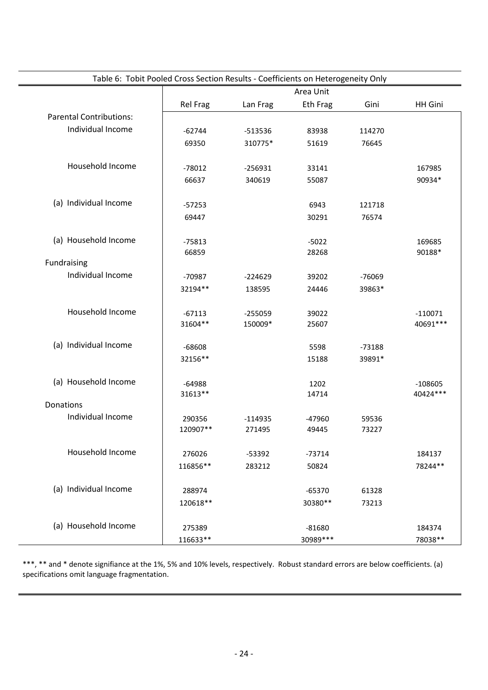| Table 6: Tobit Pooled Cross Section Results - Coefficients on Heterogeneity Only |                   |           |           |          |                  |  |  |  |  |
|----------------------------------------------------------------------------------|-------------------|-----------|-----------|----------|------------------|--|--|--|--|
|                                                                                  |                   |           | Area Unit |          |                  |  |  |  |  |
|                                                                                  | <b>Rel Frag</b>   | Lan Frag  | Eth Frag  | Gini     | HH Gini          |  |  |  |  |
| <b>Parental Contributions:</b>                                                   |                   |           |           |          |                  |  |  |  |  |
| Individual Income                                                                | $-62744$          | $-513536$ | 83938     | 114270   |                  |  |  |  |  |
|                                                                                  | 69350             | 310775*   | 51619     | 76645    |                  |  |  |  |  |
|                                                                                  |                   |           |           |          |                  |  |  |  |  |
| Household Income                                                                 | $-78012$          | $-256931$ | 33141     |          | 167985           |  |  |  |  |
|                                                                                  | 66637             | 340619    | 55087     |          | 90934*           |  |  |  |  |
|                                                                                  |                   |           |           |          |                  |  |  |  |  |
| (a) Individual Income                                                            | $-57253$          |           | 6943      | 121718   |                  |  |  |  |  |
|                                                                                  | 69447             |           | 30291     | 76574    |                  |  |  |  |  |
| (a) Household Income                                                             |                   |           | $-5022$   |          |                  |  |  |  |  |
|                                                                                  | $-75813$<br>66859 |           | 28268     |          | 169685<br>90188* |  |  |  |  |
| Fundraising                                                                      |                   |           |           |          |                  |  |  |  |  |
| Individual Income                                                                | -70987            | $-224629$ | 39202     | $-76069$ |                  |  |  |  |  |
|                                                                                  | 32194**           | 138595    | 24446     | 39863*   |                  |  |  |  |  |
|                                                                                  |                   |           |           |          |                  |  |  |  |  |
| Household Income                                                                 | $-67113$          | $-255059$ | 39022     |          | $-110071$        |  |  |  |  |
|                                                                                  | 31604**           | 150009*   | 25607     |          | 40691 ***        |  |  |  |  |
| (a) Individual Income                                                            |                   |           |           |          |                  |  |  |  |  |
|                                                                                  | $-68608$          |           | 5598      | $-73188$ |                  |  |  |  |  |
|                                                                                  | 32156**           |           | 15188     | 39891*   |                  |  |  |  |  |
| (a) Household Income                                                             | $-64988$          |           | 1202      |          | $-108605$        |  |  |  |  |
|                                                                                  | 31613**           |           | 14714     |          | 40424 ***        |  |  |  |  |
| <b>Donations</b>                                                                 |                   |           |           |          |                  |  |  |  |  |
| Individual Income                                                                | 290356            | $-114935$ | -47960    | 59536    |                  |  |  |  |  |
|                                                                                  | 120907**          | 271495    | 49445     | 73227    |                  |  |  |  |  |
|                                                                                  |                   |           |           |          |                  |  |  |  |  |
| Household Income                                                                 | 276026            | -53392    | $-73714$  |          | 184137           |  |  |  |  |
|                                                                                  | 116856**          | 283212    | 50824     |          | 78244**          |  |  |  |  |
| (a) Individual Income                                                            |                   |           |           |          |                  |  |  |  |  |
|                                                                                  | 288974            |           | $-65370$  | 61328    |                  |  |  |  |  |
|                                                                                  | 120618**          |           | 30380**   | 73213    |                  |  |  |  |  |
| (a) Household Income                                                             | 275389            |           | $-81680$  |          | 184374           |  |  |  |  |
|                                                                                  | 116633**          |           | 30989 *** |          | 78038 **         |  |  |  |  |

\*\*\*, \*\* and \* denote signifiance at the 1%, 5% and 10% levels, respectively. Robust standard errors are below coefficients. (a) specifications omit language fragmentation.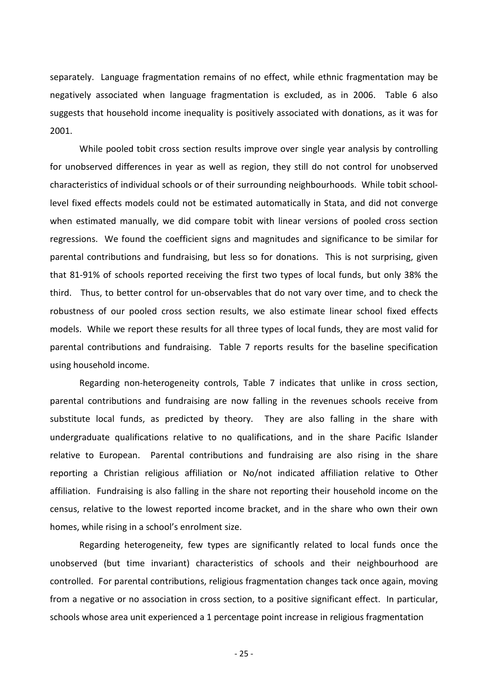separately. Language fragmentation remains of no effect, while ethnic fragmentation may be negatively associated when language fragmentation is excluded, as in 2006. Table 6 also suggests that household income inequality is positively associated with donations, as it was for 2001.

While pooled tobit cross section results improve over single year analysis by controlling for unobserved differences in year as well as region, they still do not control for unobserved characteristics of individual schools or of their surrounding neighbourhoods. While tobit schoollevel fixed effects models could not be estimated automatically in Stata, and did not converge when estimated manually, we did compare tobit with linear versions of pooled cross section regressions. We found the coefficient signs and magnitudes and significance to be similar for parental contributions and fundraising, but less so for donations. This is not surprising, given that 81-91% of schools reported receiving the first two types of local funds, but only 38% the third. Thus, to better control for un-observables that do not vary over time, and to check the robustness of our pooled cross section results, we also estimate linear school fixed effects models. While we report these results for all three types of local funds, they are most valid for parental contributions and fundraising. Table 7 reports results for the baseline specification using household income.

Regarding non-heterogeneity controls, Table 7 indicates that unlike in cross section, parental contributions and fundraising are now falling in the revenues schools receive from substitute local funds, as predicted by theory. They are also falling in the share with undergraduate qualifications relative to no qualifications, and in the share Pacific Islander relative to European. Parental contributions and fundraising are also rising in the share reporting a Christian religious affiliation or No/not indicated affiliation relative to Other affiliation. Fundraising is also falling in the share not reporting their household income on the census, relative to the lowest reported income bracket, and in the share who own their own homes, while rising in a school's enrolment size.

Regarding heterogeneity, few types are significantly related to local funds once the unobserved (but time invariant) characteristics of schools and their neighbourhood are controlled. For parental contributions, religious fragmentation changes tack once again, moving from a negative or no association in cross section, to a positive significant effect. In particular, schools whose area unit experienced a 1 percentage point increase in religious fragmentation

- 25 -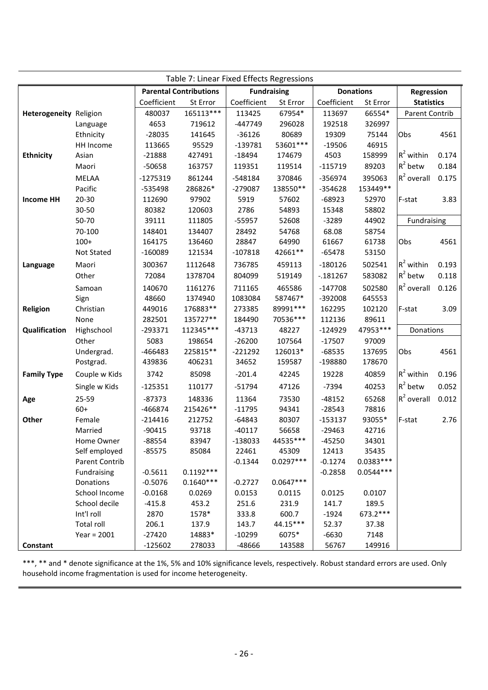|                        | Table 7: Linear Fixed Effects Regressions |             |                               |             |                    |             |                  |                   |       |  |
|------------------------|-------------------------------------------|-------------|-------------------------------|-------------|--------------------|-------------|------------------|-------------------|-------|--|
|                        |                                           |             | <b>Parental Contributions</b> |             | <b>Fundraising</b> |             | <b>Donations</b> | Regression        |       |  |
|                        |                                           | Coefficient | St Error                      | Coefficient | St Error           | Coefficient | St Error         | <b>Statistics</b> |       |  |
| Heterogeneity Religion |                                           | 480037      | 165113***                     | 113425      | 67954*             | 113697      | 66554*           | Parent Contrib    |       |  |
|                        | Language                                  | 4653        | 719612                        | $-447749$   | 296028             | 192518      | 326997           |                   |       |  |
|                        | Ethnicity                                 | $-28035$    | 141645                        | $-36126$    | 80689              | 19309       | 75144            | Obs               | 4561  |  |
|                        | HH Income                                 | 113665      | 95529                         | $-139781$   | 53601 ***          | $-19506$    | 46915            |                   |       |  |
| <b>Ethnicity</b>       | Asian                                     | $-21888$    | 427491                        | $-18494$    | 174679             | 4503        | 158999           | $R^2$ within      | 0.174 |  |
|                        | Maori                                     | $-50658$    | 163757                        | 119351      | 119514             | $-115719$   | 89203            | $R^2$ betw        | 0.184 |  |
|                        | <b>MELAA</b>                              | $-1275319$  | 861244                        | $-548184$   | 370846             | $-356974$   | 395063           | $R^2$ overall     | 0.175 |  |
|                        | Pacific                                   | -535498     | 286826*                       | -279087     | 138550**           | $-354628$   | 153449**         |                   |       |  |
| <b>Income HH</b>       | $20 - 30$                                 | 112690      | 97902                         | 5919        | 57602              | $-68923$    | 52970            | F-stat            | 3.83  |  |
|                        | 30-50                                     | 80382       | 120603                        | 2786        | 54893              | 15348       | 58802            |                   |       |  |
|                        | 50-70                                     | 39111       | 111805                        | $-55957$    | 52608              | $-3289$     | 44902            | Fundraising       |       |  |
|                        | 70-100                                    | 148401      | 134407                        | 28492       | 54768              | 68.08       | 58754            |                   |       |  |
|                        | $100+$                                    | 164175      | 136460                        | 28847       | 64990              | 61667       | 61738            | Obs               | 4561  |  |
|                        | Not Stated                                | $-160089$   | 121534                        | $-107818$   | 42661**            | $-65478$    | 53150            |                   |       |  |
| Language               | Maori                                     | 300367      | 1112648                       | 736785      | 459113             | $-180126$   | 502541           | $R^2$ within      | 0.193 |  |
|                        | Other                                     | 72084       | 1378704                       | 804099      | 519149             | $-181267$   | 583082           | $R^2$ betw        | 0.118 |  |
|                        | Samoan                                    | 140670      | 1161276                       | 711165      | 465586             | $-147708$   | 502580           | $R^2$ overall     | 0.126 |  |
|                        | Sign                                      | 48660       | 1374940                       | 1083084     | 587467*            | -392008     | 645553           |                   |       |  |
| Religion               | Christian                                 | 449016      | 176883**                      | 273385      | 89991 ***          | 162295      | 102120           | F-stat            | 3.09  |  |
|                        | None                                      | 282501      | 135727**                      | 184490      | 70536***           | 112136      | 89611            |                   |       |  |
| <b>Qualification</b>   | Highschool                                | $-293371$   | 112345***                     | $-43713$    | 48227              | $-124929$   | 47953 ***        | Donations         |       |  |
|                        | Other                                     | 5083        | 198654                        | $-26200$    | 107564             | $-17507$    | 97009            |                   |       |  |
|                        | Undergrad.                                | -466483     | 225815**                      | $-221292$   | 126013*            | $-68535$    | 137695           | Obs               | 4561  |  |
|                        | Postgrad.                                 | 439836      | 406231                        | 34652       | 159587             | -198880     | 178670           |                   |       |  |
| <b>Family Type</b>     | Couple w Kids                             | 3742        | 85098                         | $-201.4$    | 42245              | 19228       | 40859            | $R^2$ within      | 0.196 |  |
|                        | Single w Kids                             | $-125351$   | 110177                        | $-51794$    | 47126              | $-7394$     | 40253            | $R^2$ betw        | 0.052 |  |
| Age                    | 25-59                                     | $-87373$    | 148336                        | 11364       | 73530              | $-48152$    | 65268            | $R^2$ overall     | 0.012 |  |
|                        | $60+$                                     | $-466874$   | 215426**                      | $-11795$    | 94341              | $-28543$    | 78816            |                   |       |  |
| Other                  | Female                                    | $-214416$   | 212752                        | $-64843$    | 80307              | $-153137$   | 93055*           | F-stat            | 2.76  |  |
|                        | Married                                   | $-90415$    | 93718                         | $-40117$    | 56658              | $-29463$    | 42716            |                   |       |  |
|                        | Home Owner                                | -88554      | 83947                         | -138033     | 44535***           | $-45250$    | 34301            |                   |       |  |
|                        | Self employed                             | $-85575$    | 85084                         | 22461       | 45309              | 12413       | 35435            |                   |       |  |
|                        | <b>Parent Contrib</b>                     |             |                               | $-0.1344$   | $0.0297***$        | $-0.1274$   | $0.0383***$      |                   |       |  |
|                        | Fundraising                               | $-0.5611$   | $0.1192***$                   |             |                    | $-0.2858$   | $0.0544***$      |                   |       |  |
|                        | Donations                                 | $-0.5076$   | $0.1640***$                   | $-0.2727$   | $0.0647***$        |             |                  |                   |       |  |
|                        | School Income                             | $-0.0168$   | 0.0269                        | 0.0153      | 0.0115             | 0.0125      | 0.0107           |                   |       |  |
|                        | School decile                             | $-415.8$    | 453.2                         | 251.6       | 231.9              | 141.7       | 189.5            |                   |       |  |
|                        | Int'l roll                                | 2870        | 1578*                         | 333.8       | 600.7              | $-1924$     | 673.2 ***        |                   |       |  |
|                        | <b>Total roll</b>                         | 206.1       | 137.9                         | 143.7       | 44.15***           | 52.37       | 37.38            |                   |       |  |
|                        | Year = $2001$                             | $-27420$    | 14883*                        | $-10299$    | 6075*              | $-6630$     | 7148             |                   |       |  |
| Constant               |                                           | $-125602$   | 278033                        | -48666      | 143588             | 56767       | 149916           |                   |       |  |

\*\*\*, \*\* and \* denote significance at the 1%, 5% and 10% significance levels, respectively. Robust standard errors are used. Only household income fragmentation is used for income heterogeneity.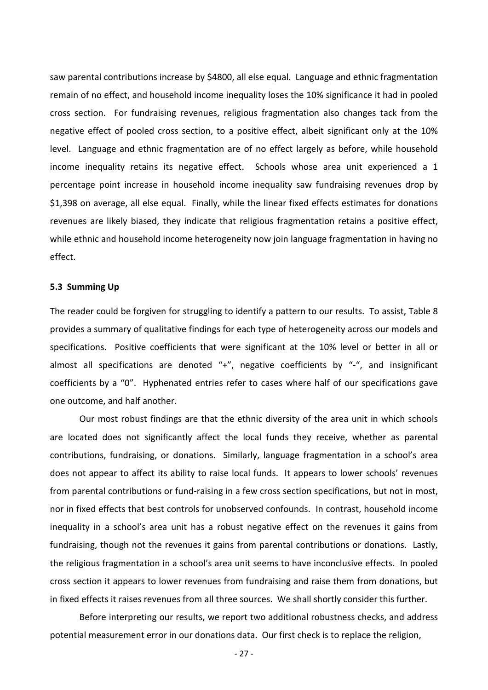saw parental contributions increase by \$4800, all else equal. Language and ethnic fragmentation remain of no effect, and household income inequality loses the 10% significance it had in pooled cross section. For fundraising revenues, religious fragmentation also changes tack from the negative effect of pooled cross section, to a positive effect, albeit significant only at the 10% level. Language and ethnic fragmentation are of no effect largely as before, while household income inequality retains its negative effect. Schools whose area unit experienced a 1 percentage point increase in household income inequality saw fundraising revenues drop by \$1,398 on average, all else equal. Finally, while the linear fixed effects estimates for donations revenues are likely biased, they indicate that religious fragmentation retains a positive effect, while ethnic and household income heterogeneity now join language fragmentation in having no effect.

#### **5.3 Summing Up**

The reader could be forgiven for struggling to identify a pattern to our results. To assist, Table 8 provides a summary of qualitative findings for each type of heterogeneity across our models and specifications. Positive coefficients that were significant at the 10% level or better in all or almost all specifications are denoted "+", negative coefficients by "-", and insignificant coefficients by a "0". Hyphenated entries refer to cases where half of our specifications gave one outcome, and half another.

Our most robust findings are that the ethnic diversity of the area unit in which schools are located does not significantly affect the local funds they receive, whether as parental contributions, fundraising, or donations. Similarly, language fragmentation in a school's area does not appear to affect its ability to raise local funds. It appears to lower schools' revenues from parental contributions or fund-raising in a few cross section specifications, but not in most, nor in fixed effects that best controls for unobserved confounds. In contrast, household income inequality in a school's area unit has a robust negative effect on the revenues it gains from fundraising, though not the revenues it gains from parental contributions or donations. Lastly, the religious fragmentation in a school's area unit seems to have inconclusive effects. In pooled cross section it appears to lower revenues from fundraising and raise them from donations, but in fixed effects it raises revenues from all three sources. We shall shortly consider this further.

Before interpreting our results, we report two additional robustness checks, and address potential measurement error in our donations data. Our first check is to replace the religion,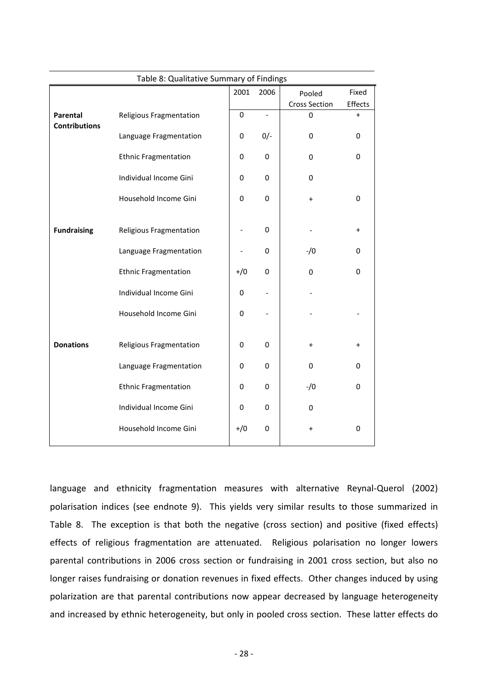| Table 8: Qualitative Summary of Findings |                             |           |           |                      |           |  |  |
|------------------------------------------|-----------------------------|-----------|-----------|----------------------|-----------|--|--|
|                                          |                             | 2001      | 2006      | Pooled               | Fixed     |  |  |
|                                          |                             |           |           | <b>Cross Section</b> | Effects   |  |  |
| Parental                                 | Religious Fragmentation     | $\pmb{0}$ |           | $\mathbf 0$          | $\ddot{}$ |  |  |
| <b>Contributions</b>                     | Language Fragmentation      | 0         | $0/-$     | $\mathbf 0$          | 0         |  |  |
|                                          | <b>Ethnic Fragmentation</b> | 0         | 0         | 0                    | 0         |  |  |
|                                          | Individual Income Gini      | 0         | 0         | 0                    |           |  |  |
|                                          | Household Income Gini       | 0         | 0         | $\ddot{}$            | 0         |  |  |
| <b>Fundraising</b>                       | Religious Fragmentation     |           | 0         |                      | $\ddot{}$ |  |  |
|                                          | Language Fragmentation      |           | 0         | $-1/0$               | 0         |  |  |
|                                          | <b>Ethnic Fragmentation</b> | $+/0$     | 0         | $\mathbf 0$          | 0         |  |  |
|                                          | Individual Income Gini      | 0         |           |                      |           |  |  |
|                                          | Household Income Gini       | 0         |           |                      |           |  |  |
| <b>Donations</b>                         | Religious Fragmentation     | 0         | 0         | +                    | +         |  |  |
|                                          | Language Fragmentation      | 0         | 0         | 0                    | 0         |  |  |
|                                          | <b>Ethnic Fragmentation</b> | 0         | 0         | $-1/0$               | 0         |  |  |
|                                          | Individual Income Gini      | 0         | 0         | 0                    |           |  |  |
|                                          | Household Income Gini       | $+ / 0$   | $\pmb{0}$ | $\pmb{+}$            | 0         |  |  |

language and ethnicity fragmentation measures with alternative Reynal-Querol (2002) polarisation indices (see endnote 9). This yields very similar results to those summarized in Table 8. The exception is that both the negative (cross section) and positive (fixed effects) effects of religious fragmentation are attenuated. Religious polarisation no longer lowers parental contributions in 2006 cross section or fundraising in 2001 cross section, but also no longer raises fundraising or donation revenues in fixed effects. Other changes induced by using polarization are that parental contributions now appear decreased by language heterogeneity and increased by ethnic heterogeneity, but only in pooled cross section. These latter effects do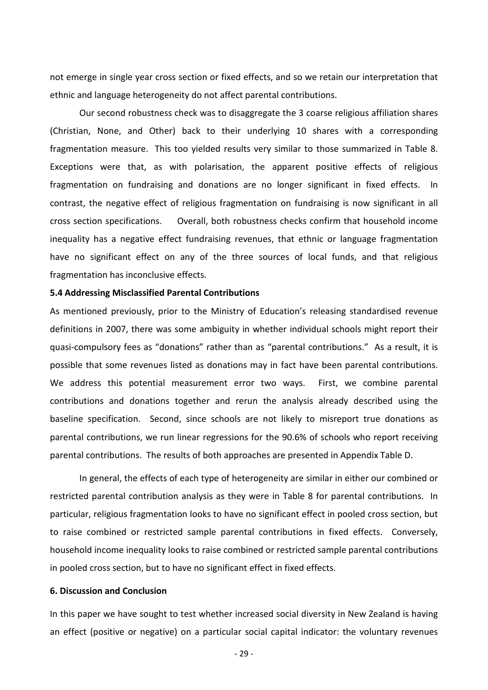not emerge in single year cross section or fixed effects, and so we retain our interpretation that ethnic and language heterogeneity do not affect parental contributions.

Our second robustness check was to disaggregate the 3 coarse religious affiliation shares (Christian, None, and Other) back to their underlying 10 shares with a corresponding fragmentation measure. This too yielded results very similar to those summarized in Table 8. Exceptions were that, as with polarisation, the apparent positive effects of religious fragmentation on fundraising and donations are no longer significant in fixed effects. In contrast, the negative effect of religious fragmentation on fundraising is now significant in all cross section specifications. Overall, both robustness checks confirm that household income inequality has a negative effect fundraising revenues, that ethnic or language fragmentation have no significant effect on any of the three sources of local funds, and that religious fragmentation has inconclusive effects.

#### **5.4 Addressing Misclassified Parental Contributions**

As mentioned previously, prior to the Ministry of Education's releasing standardised revenue definitions in 2007, there was some ambiguity in whether individual schools might report their quasi-compulsory fees as "donations" rather than as "parental contributions." As a result, it is possible that some revenues listed as donations may in fact have been parental contributions. We address this potential measurement error two ways. First, we combine parental contributions and donations together and rerun the analysis already described using the baseline specification. Second, since schools are not likely to misreport true donations as parental contributions, we run linear regressions for the 90.6% of schools who report receiving parental contributions. The results of both approaches are presented in Appendix Table D.

In general, the effects of each type of heterogeneity are similar in either our combined or restricted parental contribution analysis as they were in Table 8 for parental contributions. In particular, religious fragmentation looks to have no significant effect in pooled cross section, but to raise combined or restricted sample parental contributions in fixed effects. Conversely, household income inequality looks to raise combined or restricted sample parental contributions in pooled cross section, but to have no significant effect in fixed effects.

#### **6. Discussion and Conclusion**

In this paper we have sought to test whether increased social diversity in New Zealand is having an effect (positive or negative) on a particular social capital indicator: the voluntary revenues

- 29 -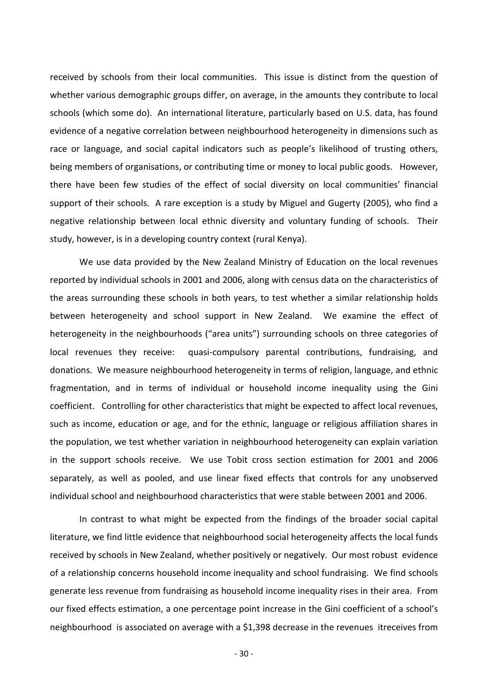received by schools from their local communities. This issue is distinct from the question of whether various demographic groups differ, on average, in the amounts they contribute to local schools (which some do). An international literature, particularly based on U.S. data, has found evidence of a negative correlation between neighbourhood heterogeneity in dimensions such as race or language, and social capital indicators such as people's likelihood of trusting others, being members of organisations, or contributing time or money to local public goods. However, there have been few studies of the effect of social diversity on local communities' financial support of their schools. A rare exception is a study by Miguel and Gugerty (2005), who find a negative relationship between local ethnic diversity and voluntary funding of schools. Their study, however, is in a developing country context (rural Kenya).

We use data provided by the New Zealand Ministry of Education on the local revenues reported by individual schools in 2001 and 2006, along with census data on the characteristics of the areas surrounding these schools in both years, to test whether a similar relationship holds between heterogeneity and school support in New Zealand. We examine the effect of heterogeneity in the neighbourhoods ("area units") surrounding schools on three categories of local revenues they receive: quasi-compulsory parental contributions, fundraising, and donations. We measure neighbourhood heterogeneity in terms of religion, language, and ethnic fragmentation, and in terms of individual or household income inequality using the Gini coefficient. Controlling for other characteristics that might be expected to affect local revenues, such as income, education or age, and for the ethnic, language or religious affiliation shares in the population, we test whether variation in neighbourhood heterogeneity can explain variation in the support schools receive. We use Tobit cross section estimation for 2001 and 2006 separately, as well as pooled, and use linear fixed effects that controls for any unobserved individual school and neighbourhood characteristics that were stable between 2001 and 2006.

In contrast to what might be expected from the findings of the broader social capital literature, we find little evidence that neighbourhood social heterogeneity affects the local funds received by schools in New Zealand, whether positively or negatively. Our most robust evidence of a relationship concerns household income inequality and school fundraising. We find schools generate less revenue from fundraising as household income inequality rises in their area. From our fixed effects estimation, a one percentage point increase in the Gini coefficient of a school's neighbourhood is associated on average with a \$1,398 decrease in the revenues itreceives from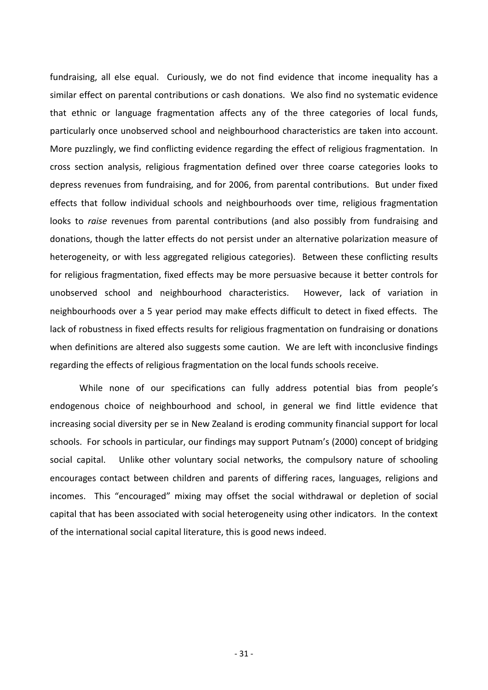fundraising, all else equal. Curiously, we do not find evidence that income inequality has a similar effect on parental contributions or cash donations. We also find no systematic evidence that ethnic or language fragmentation affects any of the three categories of local funds, particularly once unobserved school and neighbourhood characteristics are taken into account. More puzzlingly, we find conflicting evidence regarding the effect of religious fragmentation. In cross section analysis, religious fragmentation defined over three coarse categories looks to depress revenues from fundraising, and for 2006, from parental contributions. But under fixed effects that follow individual schools and neighbourhoods over time, religious fragmentation looks to *raise* revenues from parental contributions (and also possibly from fundraising and donations, though the latter effects do not persist under an alternative polarization measure of heterogeneity, or with less aggregated religious categories). Between these conflicting results for religious fragmentation, fixed effects may be more persuasive because it better controls for unobserved school and neighbourhood characteristics. However, lack of variation in neighbourhoods over a 5 year period may make effects difficult to detect in fixed effects. The lack of robustness in fixed effects results for religious fragmentation on fundraising or donations when definitions are altered also suggests some caution. We are left with inconclusive findings regarding the effects of religious fragmentation on the local funds schools receive.

While none of our specifications can fully address potential bias from people's endogenous choice of neighbourhood and school, in general we find little evidence that increasing social diversity per se in New Zealand is eroding community financial support for local schools. For schools in particular, our findings may support Putnam's (2000) concept of bridging social capital. Unlike other voluntary social networks, the compulsory nature of schooling encourages contact between children and parents of differing races, languages, religions and incomes. This "encouraged" mixing may offset the social withdrawal or depletion of social capital that has been associated with social heterogeneity using other indicators. In the context of the international social capital literature, this is good news indeed.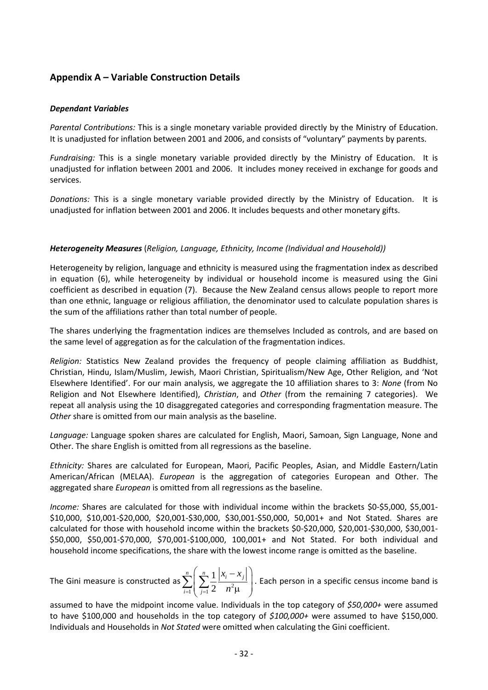## **Appendix A – Variable Construction Details**

## *Dependant Variables*

*Parental Contributions:* This is a single monetary variable provided directly by the Ministry of Education. It is unadjusted for inflation between 2001 and 2006, and consists of "voluntary" payments by parents.

*Fundraising:* This is a single monetary variable provided directly by the Ministry of Education. It is unadjusted for inflation between 2001 and 2006. It includes money received in exchange for goods and services.

*Donations:* This is a single monetary variable provided directly by the Ministry of Education. It is unadjusted for inflation between 2001 and 2006. It includes bequests and other monetary gifts.

### *Heterogeneity Measures* (*Religion, Language, Ethnicity, Income (Individual and Household))*

Heterogeneity by religion, language and ethnicity is measured using the fragmentation index as described in equation (6), while heterogeneity by individual or household income is measured using the Gini coefficient as described in equation (7). Because the New Zealand census allows people to report more than one ethnic, language or religious affiliation, the denominator used to calculate population shares is the sum of the affiliations rather than total number of people.

The shares underlying the fragmentation indices are themselves Included as controls, and are based on the same level of aggregation as for the calculation of the fragmentation indices.

*Religion:* Statistics New Zealand provides the frequency of people claiming affiliation as Buddhist, Christian, Hindu, Islam/Muslim, Jewish, Maori Christian, Spiritualism/New Age, Other Religion, and 'Not Elsewhere Identified'. For our main analysis, we aggregate the 10 affiliation shares to 3: *None* (from No Religion and Not Elsewhere Identified), *Christian*, and *Other* (from the remaining 7 categories). We repeat all analysis using the 10 disaggregated categories and corresponding fragmentation measure. The *Other* share is omitted from our main analysis as the baseline.

*Language:* Language spoken shares are calculated for English, Maori, Samoan, Sign Language, None and Other. The share English is omitted from all regressions as the baseline.

*Ethnicity:* Shares are calculated for European, Maori, Pacific Peoples, Asian, and Middle Eastern/Latin American/African (MELAA). *European* is the aggregation of categories European and Other. The aggregated share *European* is omitted from all regressions as the baseline.

*Income:* Shares are calculated for those with individual income within the brackets \$0-\$5,000, \$5,001- \$10,000, \$10,001-\$20,000, \$20,001-\$30,000, \$30,001-\$50,000, 50,001+ and Not Stated. Shares are calculated for those with household income within the brackets \$0-\$20,000, \$20,001-\$30,000, \$30,001-\$50,000, \$50,001-\$70,000, \$70,001-\$100,000, 100,001+ and Not Stated. For both individual and household income specifications, the share with the lowest income range is omitted as the baseline.

The Gini measure is constructed as  $\sum_{i=1}^{\infty} \left| \sum_{j=1}^{\infty} \frac{1}{2} \frac{1}{n^2} \right|$ 1 2  $\frac{n}{\sqrt{n}}\left|\frac{n}{\sqrt{n}}1\right|x_i-x_j$  $i=1$   $j$  $x_i - x$  $\frac{1}{n-1} \left( \frac{\pi}{j-1} 2 n \right)$  $\left(\sum_{i=1}^{n}\frac{1}{i}x_i-x_i\right)$  $\left(\begin{array}{cc} \sum_{j=1}^{n} 2 & n^2 \mu \end{array}\right)$  $\sum_{i=1}^{\infty} \left| \sum_{i=1}^{n} \frac{|\lambda_i - \lambda_j|}{n^2} \right|$ . Each person in a specific census income band is

assumed to have the midpoint income value. Individuals in the top category of *\$50,000+* were assumed to have \$100,000 and households in the top category of *\$100,000+* were assumed to have \$150,000. Individuals and Households in *Not Stated* were omitted when calculating the Gini coefficient.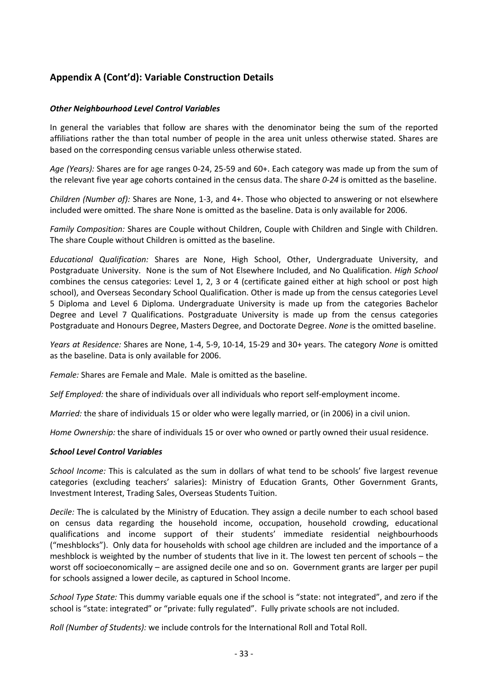# **Appendix A (Cont'd): Variable Construction Details**

#### *Other Neighbourhood Level Control Variables*

In general the variables that follow are shares with the denominator being the sum of the reported affiliations rather the than total number of people in the area unit unless otherwise stated. Shares are based on the corresponding census variable unless otherwise stated.

*Age (Years):* Shares are for age ranges 0-24, 25-59 and 60+. Each category was made up from the sum of the relevant five year age cohorts contained in the census data. The share *0-24* is omitted as the baseline.

*Children (Number of):* Shares are None, 1-3, and 4+. Those who objected to answering or not elsewhere included were omitted. The share None is omitted as the baseline. Data is only available for 2006.

*Family Composition:* Shares are Couple without Children, Couple with Children and Single with Children. The share Couple without Children is omitted as the baseline.

*Educational Qualification:* Shares are None, High School, Other, Undergraduate University, and Postgraduate University. None is the sum of Not Elsewhere Included, and No Qualification. *High School* combines the census categories: Level 1, 2, 3 or 4 (certificate gained either at high school or post high school), and Overseas Secondary School Qualification. Other is made up from the census categories Level 5 Diploma and Level 6 Diploma. Undergraduate University is made up from the categories Bachelor Degree and Level 7 Qualifications. Postgraduate University is made up from the census categories Postgraduate and Honours Degree, Masters Degree, and Doctorate Degree. *None* is the omitted baseline.

*Years at Residence:* Shares are None, 1-4, 5-9, 10-14, 15-29 and 30+ years. The category *None* is omitted as the baseline. Data is only available for 2006.

*Female:* Shares are Female and Male. Male is omitted as the baseline.

*Self Employed:* the share of individuals over all individuals who report self-employment income.

*Married:* the share of individuals 15 or older who were legally married, or (in 2006) in a civil union.

*Home Ownership:* the share of individuals 15 or over who owned or partly owned their usual residence.

#### *School Level Control Variables*

*School Income:* This is calculated as the sum in dollars of what tend to be schools' five largest revenue categories (excluding teachers' salaries): Ministry of Education Grants, Other Government Grants, Investment Interest, Trading Sales, Overseas Students Tuition.

*Decile:* The is calculated by the Ministry of Education. They assign a decile number to each school based on census data regarding the household income, occupation, household crowding, educational qualifications and income support of their students' immediate residential neighbourhoods ("meshblocks"). Only data for households with school age children are included and the importance of a meshblock is weighted by the number of students that live in it. The lowest ten percent of schools – the worst off socioeconomically – are assigned decile one and so on. Government grants are larger per pupil for schools assigned a lower decile, as captured in School Income.

*School Type State:* This dummy variable equals one if the school is "state: not integrated", and zero if the school is "state: integrated" or "private: fully regulated". Fully private schools are not included.

*Roll (Number of Students):* we include controls for the International Roll and Total Roll.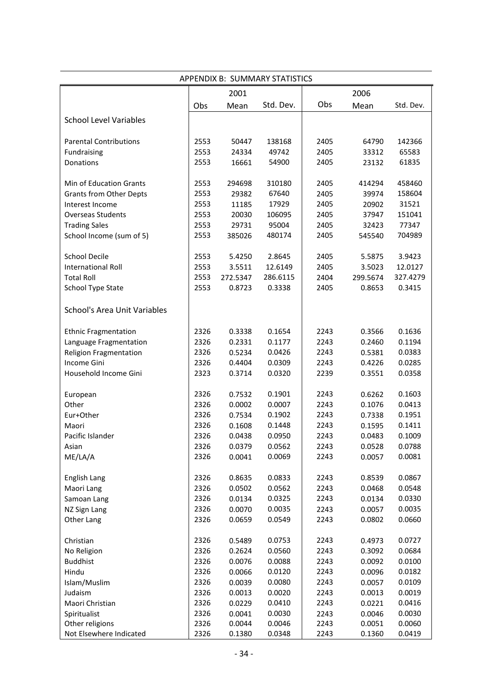| APPENDIX B: SUMMARY STATISTICS                 |              |          |                   |              |          |                   |  |  |
|------------------------------------------------|--------------|----------|-------------------|--------------|----------|-------------------|--|--|
|                                                |              | 2001     |                   |              | 2006     |                   |  |  |
|                                                | Obs          | Mean     | Std. Dev.         | Obs          | Mean     | Std. Dev.         |  |  |
| <b>School Level Variables</b>                  |              |          |                   |              |          |                   |  |  |
|                                                |              |          |                   |              |          |                   |  |  |
| <b>Parental Contributions</b>                  | 2553         | 50447    | 138168            | 2405         | 64790    | 142366            |  |  |
| Fundraising                                    | 2553         | 24334    | 49742             | 2405         | 33312    | 65583             |  |  |
| Donations                                      | 2553         | 16661    | 54900             | 2405         | 23132    | 61835             |  |  |
|                                                |              |          |                   |              |          |                   |  |  |
| Min of Education Grants                        | 2553         | 294698   | 310180            | 2405         | 414294   | 458460            |  |  |
| <b>Grants from Other Depts</b>                 | 2553         | 29382    | 67640             | 2405         | 39974    | 158604            |  |  |
| Interest Income                                | 2553         | 11185    | 17929             | 2405         | 20902    | 31521             |  |  |
| <b>Overseas Students</b>                       | 2553         | 20030    | 106095            | 2405         | 37947    | 151041            |  |  |
| <b>Trading Sales</b>                           | 2553         | 29731    | 95004             | 2405         | 32423    | 77347             |  |  |
| School Income (sum of 5)                       | 2553         | 385026   | 480174            | 2405         | 545540   | 704989            |  |  |
|                                                |              |          |                   |              |          |                   |  |  |
| <b>School Decile</b>                           | 2553<br>2553 | 5.4250   | 2.8645<br>12.6149 | 2405<br>2405 | 5.5875   | 3.9423<br>12.0127 |  |  |
| <b>International Roll</b><br><b>Total Roll</b> | 2553         | 3.5511   |                   |              | 3.5023   | 327.4279          |  |  |
| <b>School Type State</b>                       |              | 272.5347 | 286.6115          | 2404         | 299.5674 |                   |  |  |
|                                                | 2553         | 0.8723   | 0.3338            | 2405         | 0.8653   | 0.3415            |  |  |
| School's Area Unit Variables                   |              |          |                   |              |          |                   |  |  |
| <b>Ethnic Fragmentation</b>                    | 2326         | 0.3338   | 0.1654            | 2243         | 0.3566   | 0.1636            |  |  |
| Language Fragmentation                         | 2326         | 0.2331   | 0.1177            | 2243         | 0.2460   | 0.1194            |  |  |
| <b>Religion Fragmentation</b>                  | 2326         | 0.5234   | 0.0426            | 2243         | 0.5381   | 0.0383            |  |  |
| Income Gini                                    | 2326         | 0.4404   | 0.0309            | 2243         | 0.4226   | 0.0285            |  |  |
| Household Income Gini                          | 2323         | 0.3714   | 0.0320            | 2239         | 0.3551   | 0.0358            |  |  |
|                                                |              |          |                   |              |          |                   |  |  |
| European                                       | 2326         | 0.7532   | 0.1901            | 2243         | 0.6262   | 0.1603            |  |  |
| Other                                          | 2326         | 0.0002   | 0.0007            | 2243         | 0.1076   | 0.0413            |  |  |
| Eur+Other                                      | 2326         | 0.7534   | 0.1902            | 2243         | 0.7338   | 0.1951            |  |  |
| Maori                                          | 2326         | 0.1608   | 0.1448            | 2243         | 0.1595   | 0.1411            |  |  |
| Pacific Islander                               | 2326         | 0.0438   | 0.0950            | 2243         | 0.0483   | 0.1009            |  |  |
| Asian                                          | 2326         | 0.0379   | 0.0562            | 2243         | 0.0528   | 0.0788            |  |  |
| ME/LA/A                                        | 2326         | 0.0041   | 0.0069            | 2243         | 0.0057   | 0.0081            |  |  |
|                                                | 2326         | 0.8635   | 0.0833            | 2243         | 0.8539   | 0.0867            |  |  |
| English Lang<br>Maori Lang                     | 2326         | 0.0502   | 0.0562            | 2243         | 0.0468   | 0.0548            |  |  |
| Samoan Lang                                    | 2326         | 0.0134   | 0.0325            | 2243         | 0.0134   | 0.0330            |  |  |
| NZ Sign Lang                                   | 2326         | 0.0070   | 0.0035            | 2243         | 0.0057   | 0.0035            |  |  |
| Other Lang                                     | 2326         | 0.0659   | 0.0549            | 2243         | 0.0802   | 0.0660            |  |  |
|                                                |              |          |                   |              |          |                   |  |  |
| Christian                                      | 2326         | 0.5489   | 0.0753            | 2243         | 0.4973   | 0.0727            |  |  |
| No Religion                                    | 2326         | 0.2624   | 0.0560            | 2243         | 0.3092   | 0.0684            |  |  |
| <b>Buddhist</b>                                | 2326         | 0.0076   | 0.0088            | 2243         | 0.0092   | 0.0100            |  |  |
| Hindu                                          | 2326         | 0.0066   | 0.0120            | 2243         | 0.0096   | 0.0182            |  |  |
| Islam/Muslim                                   | 2326         | 0.0039   | 0.0080            | 2243         | 0.0057   | 0.0109            |  |  |
| Judaism                                        | 2326         | 0.0013   | 0.0020            | 2243         | 0.0013   | 0.0019            |  |  |
| Maori Christian                                | 2326         | 0.0229   | 0.0410            | 2243         | 0.0221   | 0.0416            |  |  |
| Spiritualist                                   | 2326         | 0.0041   | 0.0030            | 2243         | 0.0046   | 0.0030            |  |  |
| Other religions                                | 2326         | 0.0044   | 0.0046            | 2243         | 0.0051   | 0.0060            |  |  |
| Not Elsewhere Indicated                        | 2326         | 0.1380   | 0.0348            | 2243         | 0.1360   | 0.0419            |  |  |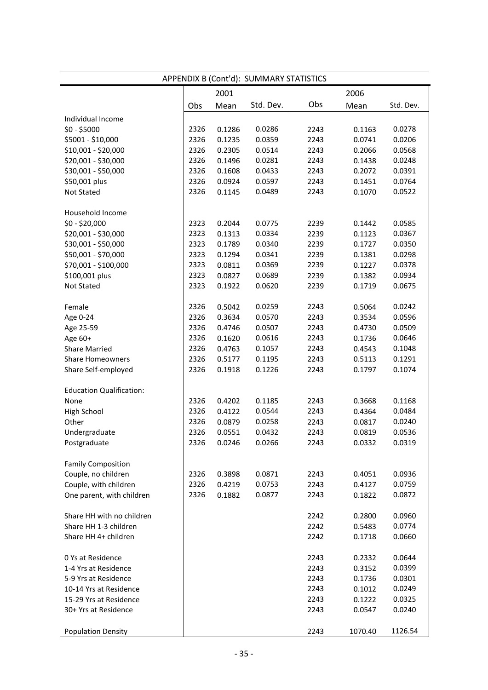|                                 |      |        | APPENDIX B (Cont'd): SUMMARY STATISTICS |      |         |           |
|---------------------------------|------|--------|-----------------------------------------|------|---------|-----------|
|                                 |      | 2001   |                                         |      | 2006    |           |
|                                 | Obs  | Mean   | Std. Dev.                               | Obs  | Mean    | Std. Dev. |
| Individual Income               |      |        |                                         |      |         |           |
| $$0 - $5000$                    | 2326 | 0.1286 | 0.0286                                  | 2243 | 0.1163  | 0.0278    |
| \$5001 - \$10,000               | 2326 | 0.1235 | 0.0359                                  | 2243 | 0.0741  | 0.0206    |
| \$10,001 - \$20,000             | 2326 | 0.2305 | 0.0514                                  | 2243 | 0.2066  | 0.0568    |
| \$20,001 - \$30,000             | 2326 | 0.1496 | 0.0281                                  | 2243 | 0.1438  | 0.0248    |
| \$30,001 - \$50,000             | 2326 | 0.1608 | 0.0433                                  | 2243 | 0.2072  | 0.0391    |
| \$50,001 plus                   | 2326 | 0.0924 | 0.0597                                  | 2243 | 0.1451  | 0.0764    |
| Not Stated                      | 2326 | 0.1145 | 0.0489                                  | 2243 | 0.1070  | 0.0522    |
|                                 |      |        |                                         |      |         |           |
| Household Income                |      |        |                                         |      |         |           |
| \$0 - \$20,000                  | 2323 | 0.2044 | 0.0775                                  | 2239 | 0.1442  | 0.0585    |
| \$20,001 - \$30,000             | 2323 | 0.1313 | 0.0334                                  | 2239 | 0.1123  | 0.0367    |
| \$30,001 - \$50,000             | 2323 | 0.1789 | 0.0340                                  | 2239 | 0.1727  | 0.0350    |
| \$50,001 - \$70,000             | 2323 | 0.1294 | 0.0341                                  | 2239 | 0.1381  | 0.0298    |
| \$70,001 - \$100,000            | 2323 | 0.0811 | 0.0369                                  | 2239 | 0.1227  | 0.0378    |
| \$100,001 plus                  | 2323 | 0.0827 | 0.0689                                  | 2239 | 0.1382  | 0.0934    |
| Not Stated                      | 2323 | 0.1922 | 0.0620                                  | 2239 | 0.1719  | 0.0675    |
|                                 |      |        |                                         |      |         |           |
| Female                          | 2326 | 0.5042 | 0.0259                                  | 2243 | 0.5064  | 0.0242    |
| Age 0-24                        | 2326 | 0.3634 | 0.0570                                  | 2243 | 0.3534  | 0.0596    |
| Age 25-59                       | 2326 | 0.4746 | 0.0507                                  | 2243 | 0.4730  | 0.0509    |
| Age 60+                         | 2326 | 0.1620 | 0.0616                                  | 2243 | 0.1736  | 0.0646    |
| <b>Share Married</b>            | 2326 | 0.4763 | 0.1057                                  | 2243 | 0.4543  | 0.1048    |
| <b>Share Homeowners</b>         | 2326 | 0.5177 | 0.1195                                  | 2243 | 0.5113  | 0.1291    |
| Share Self-employed             | 2326 | 0.1918 | 0.1226                                  | 2243 | 0.1797  | 0.1074    |
|                                 |      |        |                                         |      |         |           |
| <b>Education Qualification:</b> |      |        |                                         |      |         |           |
| None                            | 2326 | 0.4202 | 0.1185                                  | 2243 | 0.3668  | 0.1168    |
| High School                     | 2326 | 0.4122 | 0.0544                                  | 2243 | 0.4364  | 0.0484    |
| Other                           | 2326 | 0.0879 | 0.0258                                  | 2243 | 0.0817  | 0.0240    |
| Undergraduate                   | 2326 | 0.0551 | 0.0432                                  | 2243 | 0.0819  | 0.0536    |
| Postgraduate                    | 2326 | 0.0246 | 0.0266                                  | 2243 | 0.0332  | 0.0319    |
|                                 |      |        |                                         |      |         |           |
| <b>Family Composition</b>       |      |        |                                         |      |         |           |
| Couple, no children             | 2326 | 0.3898 | 0.0871                                  | 2243 | 0.4051  | 0.0936    |
| Couple, with children           | 2326 | 0.4219 | 0.0753                                  | 2243 | 0.4127  | 0.0759    |
| One parent, with children       | 2326 | 0.1882 | 0.0877                                  | 2243 | 0.1822  | 0.0872    |
|                                 |      |        |                                         |      |         |           |
| Share HH with no children       |      |        |                                         | 2242 | 0.2800  | 0.0960    |
| Share HH 1-3 children           |      |        |                                         | 2242 | 0.5483  | 0.0774    |
| Share HH 4+ children            |      |        |                                         | 2242 | 0.1718  | 0.0660    |
|                                 |      |        |                                         |      |         |           |
| 0 Ys at Residence               |      |        |                                         | 2243 | 0.2332  | 0.0644    |
| 1-4 Yrs at Residence            |      |        |                                         | 2243 | 0.3152  | 0.0399    |
| 5-9 Yrs at Residence            |      |        |                                         | 2243 | 0.1736  | 0.0301    |
| 10-14 Yrs at Residence          |      |        |                                         | 2243 | 0.1012  | 0.0249    |
| 15-29 Yrs at Residence          |      |        |                                         | 2243 | 0.1222  | 0.0325    |
| 30+ Yrs at Residence            |      |        |                                         | 2243 | 0.0547  | 0.0240    |
|                                 |      |        |                                         |      |         |           |
| <b>Population Density</b>       |      |        |                                         | 2243 | 1070.40 | 1126.54   |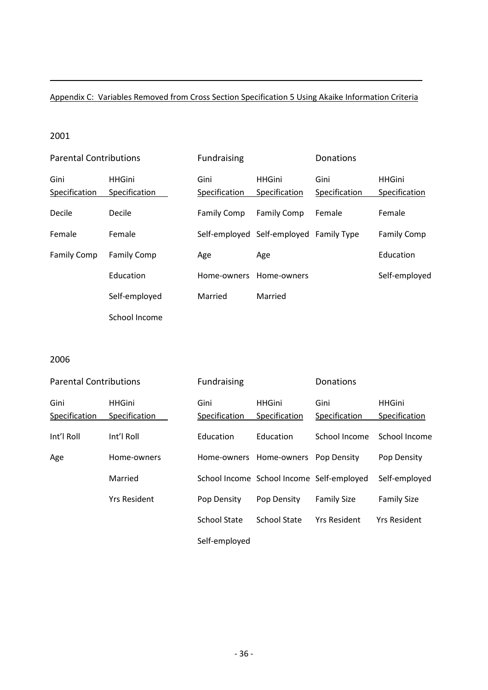# Appendix C: Variables Removed from Cross Section Specification 5 Using Akaike Information Criteria

 $\mathcal{L}_\mathcal{L} = \mathcal{L}_\mathcal{L} = \mathcal{L}_\mathcal{L} = \mathcal{L}_\mathcal{L} = \mathcal{L}_\mathcal{L} = \mathcal{L}_\mathcal{L} = \mathcal{L}_\mathcal{L} = \mathcal{L}_\mathcal{L} = \mathcal{L}_\mathcal{L} = \mathcal{L}_\mathcal{L} = \mathcal{L}_\mathcal{L} = \mathcal{L}_\mathcal{L} = \mathcal{L}_\mathcal{L} = \mathcal{L}_\mathcal{L} = \mathcal{L}_\mathcal{L} = \mathcal{L}_\mathcal{L} = \mathcal{L}_\mathcal{L}$ 

## 2001

| <b>Parental Contributions</b> |                                | <b>Fundraising</b>    |                                         | Donations             |                                |
|-------------------------------|--------------------------------|-----------------------|-----------------------------------------|-----------------------|--------------------------------|
| Gini<br>Specification         | <b>HHGini</b><br>Specification | Gini<br>Specification | <b>HHGini</b><br>Specification          | Gini<br>Specification | <b>HHGini</b><br>Specification |
| Decile                        | Decile                         | <b>Family Comp</b>    | <b>Family Comp</b>                      | Female                | Female                         |
| Female                        | Female                         |                       | Self-employed Self-employed Family Type |                       | <b>Family Comp</b>             |
| <b>Family Comp</b>            | <b>Family Comp</b>             | Age                   | Age                                     |                       | Education                      |
|                               | Education                      | Home-owners           | Home-owners                             |                       | Self-employed                  |
|                               | Self-employed                  | Married               | Married                                 |                       |                                |
|                               | School Income                  |                       |                                         |                       |                                |

# 2006

| <b>Parental Contributions</b> |                                | <b>Fundraising</b>    |                                           | Donations             |                                |
|-------------------------------|--------------------------------|-----------------------|-------------------------------------------|-----------------------|--------------------------------|
| Gini<br>Specification         | <b>HHGini</b><br>Specification | Gini<br>Specification | <b>HHGini</b><br>Specification            | Gini<br>Specification | <b>HHGini</b><br>Specification |
| Int'l Roll                    | Int'l Roll                     | Education             | Education                                 | School Income         | School Income                  |
| Age                           | Home-owners                    |                       | Home-owners Home-owners Pop Density       |                       | Pop Density                    |
|                               | Married                        |                       | School Income School Income Self-employed |                       | Self-employed                  |
|                               | <b>Yrs Resident</b>            | Pop Density           | Pop Density                               | <b>Family Size</b>    | <b>Family Size</b>             |
|                               |                                | <b>School State</b>   | School State                              | <b>Yrs Resident</b>   | <b>Yrs Resident</b>            |
|                               |                                | Self-employed         |                                           |                       |                                |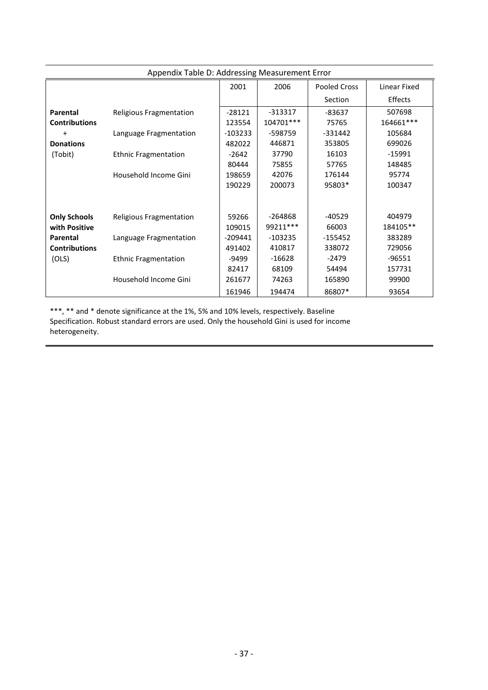| Appendix Table D: Addressing Measurement Error |                             |           |           |                     |              |  |  |  |
|------------------------------------------------|-----------------------------|-----------|-----------|---------------------|--------------|--|--|--|
|                                                |                             | 2001      | 2006      | <b>Pooled Cross</b> | Linear Fixed |  |  |  |
|                                                |                             |           |           | Section             | Effects      |  |  |  |
| Parental                                       | Religious Fragmentation     | $-28121$  | $-313317$ | -83637              | 507698       |  |  |  |
| <b>Contributions</b>                           |                             | 123554    | 104701*** | 75765               | 164661***    |  |  |  |
| $\ddot{}$                                      | Language Fragmentation      | $-103233$ | -598759   | $-331442$           | 105684       |  |  |  |
| <b>Donations</b>                               |                             | 482022    | 446871    | 353805              | 699026       |  |  |  |
| (Tobit)                                        | Ethnic Fragmentation        | $-2642$   | 37790     | 16103               | $-15991$     |  |  |  |
|                                                |                             | 80444     | 75855     | 57765               | 148485       |  |  |  |
|                                                | Household Income Gini       | 198659    | 42076     | 176144              | 95774        |  |  |  |
|                                                |                             | 190229    | 200073    | 95803*              | 100347       |  |  |  |
|                                                |                             |           |           |                     |              |  |  |  |
| <b>Only Schools</b>                            | Religious Fragmentation     | 59266     | $-264868$ | $-40529$            | 404979       |  |  |  |
| with Positive                                  |                             | 109015    | 99211***  | 66003               | 184105**     |  |  |  |
| Parental                                       | Language Fragmentation      | $-209441$ | $-103235$ | $-155452$           | 383289       |  |  |  |
| <b>Contributions</b>                           |                             | 491402    | 410817    | 338072              | 729056       |  |  |  |
| (OLS)                                          | <b>Ethnic Fragmentation</b> | $-9499$   | $-16628$  | $-2479$             | -96551       |  |  |  |
|                                                |                             | 82417     | 68109     | 54494               | 157731       |  |  |  |
|                                                | Household Income Gini       | 261677    | 74263     | 165890              | 99900        |  |  |  |
|                                                |                             | 161946    | 194474    | 86807*              | 93654        |  |  |  |

\*\*\*, \*\* and \* denote significance at the 1%, 5% and 10% levels, respectively. Baseline Specification. Robust standard errors are used. Only the household Gini is used for income heterogeneity.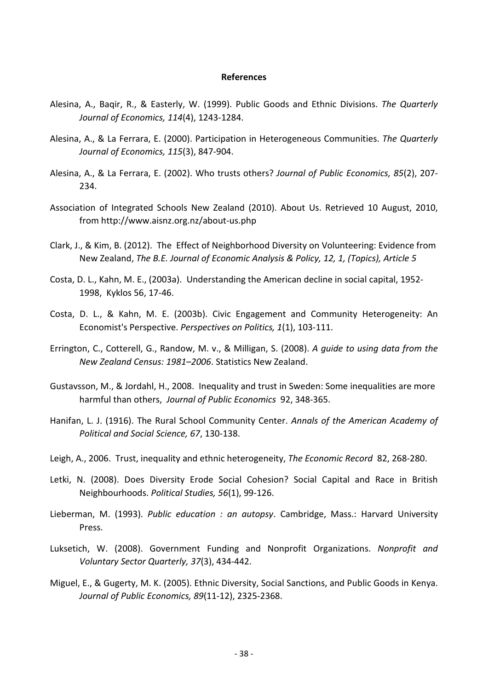#### **References**

- Alesina, A., Baqir, R., & Easterly, W. (1999). Public Goods and Ethnic Divisions. *The Quarterly Journal of Economics, 114*(4), 1243-1284.
- Alesina, A., & La Ferrara, E. (2000). Participation in Heterogeneous Communities. *The Quarterly Journal of Economics, 115*(3), 847-904.
- Alesina, A., & La Ferrara, E. (2002). Who trusts others? *Journal of Public Economics, 85*(2), 207- 234.
- Association of Integrated Schools New Zealand (2010). About Us. Retrieved 10 August, 2010, from http://www.aisnz.org.nz/about-us.php
- Clark, J., & Kim, B. (2012). The Effect of Neighborhood Diversity on Volunteering: Evidence from New Zealand, *The B.E. Journal of Economic Analysis & Policy, 12, 1, (Topics), Article 5*
- Costa, D. L., Kahn, M. E., (2003a). Understanding the American decline in social capital, 1952- 1998, Kyklos 56, 17-46.
- Costa, D. L., & Kahn, M. E. (2003b). Civic Engagement and Community Heterogeneity: An Economist's Perspective. *Perspectives on Politics, 1*(1), 103-111.
- Errington, C., Cotterell, G., Randow, M. v., & Milligan, S. (2008). *A guide to using data from the New Zealand Census: 1981–2006*. Statistics New Zealand.
- Gustavsson, M., & Jordahl, H., 2008. Inequality and trust in Sweden: Some inequalities are more harmful than others, *Journal of Public Economics* 92, 348-365.
- Hanifan, L. J. (1916). The Rural School Community Center. *Annals of the American Academy of Political and Social Science, 67*, 130-138.
- Leigh, A., 2006. Trust, inequality and ethnic heterogeneity, *The Economic Record* 82, 268-280.
- Letki, N. (2008). Does Diversity Erode Social Cohesion? Social Capital and Race in British Neighbourhoods. *Political Studies, 56*(1), 99-126.
- Lieberman, M. (1993). *Public education : an autopsy*. Cambridge, Mass.: Harvard University Press.
- Luksetich, W. (2008). Government Funding and Nonprofit Organizations. *Nonprofit and Voluntary Sector Quarterly, 37*(3), 434-442.
- Miguel, E., & Gugerty, M. K. (2005). Ethnic Diversity, Social Sanctions, and Public Goods in Kenya. *Journal of Public Economics, 89*(11-12), 2325-2368.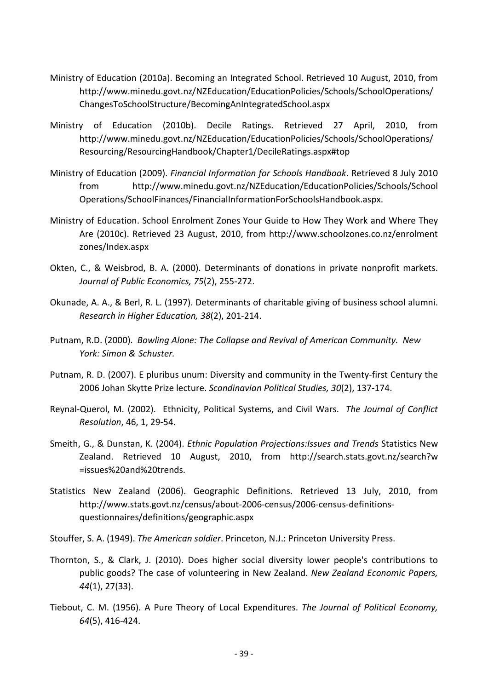- Ministry of Education (2010a). Becoming an Integrated School. Retrieved 10 August, 2010, from http://www.minedu.govt.nz/NZEducation/EducationPolicies/Schools/SchoolOperations/ ChangesToSchoolStructure/BecomingAnIntegratedSchool.aspx
- Ministry of Education (2010b). Decile Ratings. Retrieved 27 April, 2010, from http://www.minedu.govt.nz/NZEducation/EducationPolicies/Schools/SchoolOperations/ Resourcing/ResourcingHandbook/Chapter1/DecileRatings.aspx#top
- Ministry of Education (2009). *Financial Information for Schools Handbook*. Retrieved 8 July 2010 from http://www.minedu.govt.nz/NZEducation/EducationPolicies/Schools/School Operations/SchoolFinances/FinancialInformationForSchoolsHandbook.aspx.
- Ministry of Education. School Enrolment Zones Your Guide to How They Work and Where They Are (2010c). Retrieved 23 August, 2010, from http://www.schoolzones.co.nz/enrolment zones/Index.aspx
- Okten, C., & Weisbrod, B. A. (2000). Determinants of donations in private nonprofit markets. *Journal of Public Economics, 75*(2), 255-272.
- Okunade, A. A., & Berl, R. L. (1997). Determinants of charitable giving of business school alumni. *Research in Higher Education, 38*(2), 201-214.
- Putnam, R.D. (2000). *Bowling Alone: The Collapse and Revival of American Community. New York: Simon & Schuster.*
- Putnam, R. D. (2007). E pluribus unum: Diversity and community in the Twenty-first Century the 2006 Johan Skytte Prize lecture. *Scandinavian Political Studies, 30*(2), 137-174.
- Reynal-Querol, M. (2002). Ethnicity, Political Systems, and Civil Wars. *The Journal of Conflict Resolution*, 46, 1, 29-54.
- Smeith, G., & Dunstan, K. (2004). *Ethnic Population Projections:Issues and Trends* Statistics New Zealand. Retrieved 10 August, 2010, from http://search.stats.govt.nz/search?w =issues%20and%20trends.
- Statistics New Zealand (2006). Geographic Definitions. Retrieved 13 July, 2010, from http://www.stats.govt.nz/census/about-2006-census/2006-census-definitionsquestionnaires/definitions/geographic.aspx
- Stouffer, S. A. (1949). *The American soldier*. Princeton, N.J.: Princeton University Press.
- Thornton, S., & Clark, J. (2010). Does higher social diversity lower people's contributions to public goods? The case of volunteering in New Zealand. *New Zealand Economic Papers, 44*(1), 27(33).
- Tiebout, C. M. (1956). A Pure Theory of Local Expenditures. *The Journal of Political Economy, 64*(5), 416-424.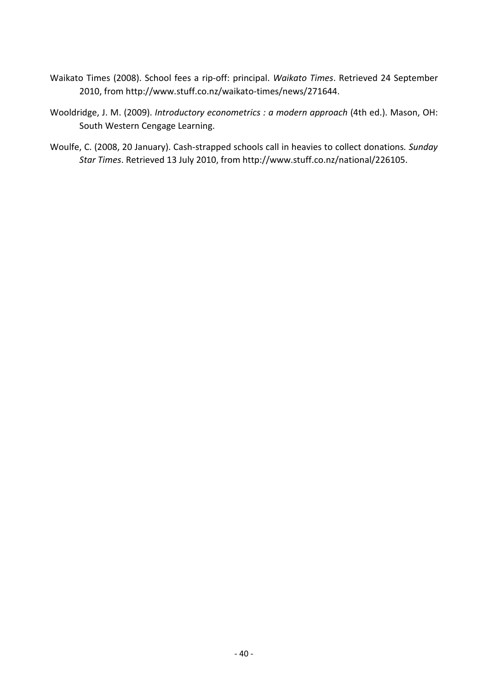- Waikato Times (2008). School fees a rip-off: principal. *Waikato Times*. Retrieved 24 September 2010, from http://www.stuff.co.nz/waikato-times/news/271644.
- Wooldridge, J. M. (2009). *Introductory econometrics : a modern approach* (4th ed.). Mason, OH: South Western Cengage Learning.
- Woulfe, C. (2008, 20 January). Cash-strapped schools call in heavies to collect donations*. Sunday Star Times*. Retrieved 13 July 2010, from http://www.stuff.co.nz/national/226105.